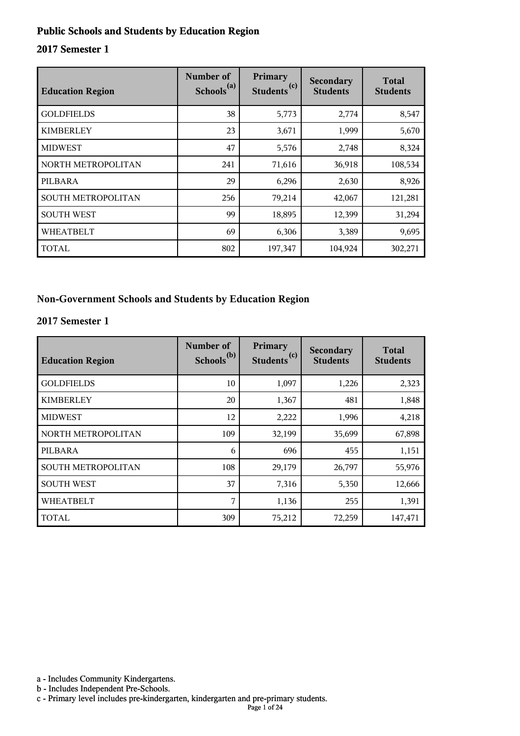#### **Public Schools and Students by Education Region**

#### **2017 Semester 1**

| <b>Education Region</b> | Number of<br>Schools <sup>(a)</sup> | Primary<br>(c)<br><b>Students</b> | Secondary<br><b>Students</b> | <b>Total</b><br><b>Students</b> |
|-------------------------|-------------------------------------|-----------------------------------|------------------------------|---------------------------------|
| <b>GOLDFIELDS</b>       | 38                                  | 5,773                             | 2,774                        | 8,547                           |
| <b>KIMBERLEY</b>        | 23                                  | 3,671                             | 1,999                        | 5,670                           |
| <b>MIDWEST</b>          | 47                                  | 5,576                             | 2,748                        | 8,324                           |
| NORTH METROPOLITAN      | 241                                 | 71,616                            | 36,918                       | 108,534                         |
| PILBARA                 | 29                                  | 6,296                             | 2,630                        | 8,926                           |
| SOUTH METROPOLITAN      | 256                                 | 79,214                            | 42,067                       | 121,281                         |
| <b>SOUTH WEST</b>       | 99                                  | 18,895                            | 12,399                       | 31,294                          |
| <b>WHEATBELT</b>        | 69                                  | 6,306                             | 3,389                        | 9,695                           |
| TOTAL                   | 802                                 | 197,347                           | 104,924                      | 302,271                         |

#### **Non-Government Schools and Students by Education Region**

#### **2017 Semester 1**

| <b>Education Region</b> | Number of<br>Schools <sup>(b)</sup> | Primary<br>Students <sup>(c)</sup> | Secondary<br><b>Students</b> | <b>Total</b><br><b>Students</b> |
|-------------------------|-------------------------------------|------------------------------------|------------------------------|---------------------------------|
| <b>GOLDFIELDS</b>       | 10                                  | 1,097                              | 1,226                        | 2,323                           |
| <b>KIMBERLEY</b>        | 20                                  | 1,367                              | 481                          | 1,848                           |
| <b>MIDWEST</b>          | 12                                  | 2,222                              | 1,996                        | 4,218                           |
| NORTH METROPOLITAN      | 109                                 | 32,199                             | 35,699                       | 67,898                          |
| PILBARA                 | 6                                   | 696                                | 455                          | 1,151                           |
| SOUTH METROPOLITAN      | 108                                 | 29,179                             | 26,797                       | 55,976                          |
| <b>SOUTH WEST</b>       | 37                                  | 7,316                              | 5,350                        | 12,666                          |
| <b>WHEATBELT</b>        | 7                                   | 1,136                              | 255                          | 1,391                           |
| <b>TOTAL</b>            | 309                                 | 75,212                             | 72,259                       | 147,471                         |

a - Includes Community Kindergartens.

b - Includes Independent Pre-Schools.

c - Primary level includes pre-kindergarten, kindergarten and pre-primary students.

Page 1 of 24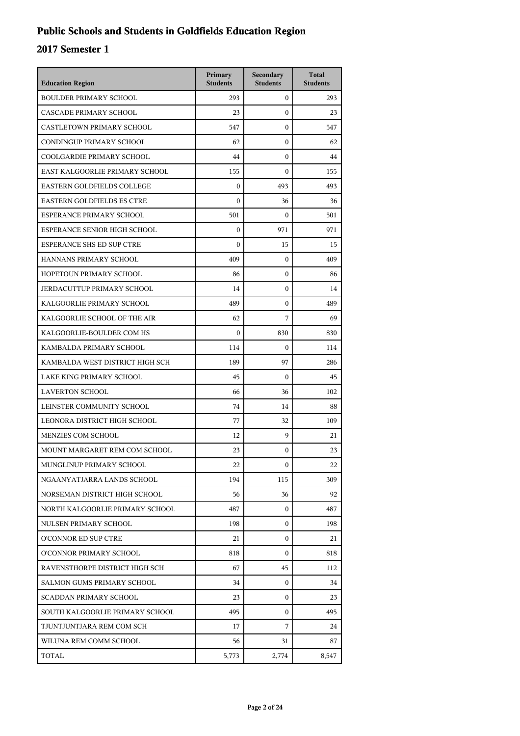## **Public Schools and Students in Goldfields Education Region**

| <b>Education Region</b>           | Primary<br><b>Students</b> | Secondary<br><b>Students</b> | <b>Total</b><br><b>Students</b> |
|-----------------------------------|----------------------------|------------------------------|---------------------------------|
| <b>BOULDER PRIMARY SCHOOL</b>     | 293                        | $\mathbf{0}$                 | 293                             |
| CASCADE PRIMARY SCHOOL            | 23                         | $\mathbf{0}$                 | 23                              |
| CASTLETOWN PRIMARY SCHOOL         | 547                        | $\mathbf{0}$                 | 547                             |
| CONDINGUP PRIMARY SCHOOL          | 62                         | $\boldsymbol{0}$             | 62                              |
| COOLGARDIE PRIMARY SCHOOL         | 44                         | $\boldsymbol{0}$             | 44                              |
| EAST KALGOORLIE PRIMARY SCHOOL    | 155                        | $\boldsymbol{0}$             | 155                             |
| <b>EASTERN GOLDFIELDS COLLEGE</b> | $\mathbf{0}$               | 493                          | 493                             |
| <b>EASTERN GOLDFIELDS ES CTRE</b> | $\mathbf{0}$               | 36                           | 36                              |
| ESPERANCE PRIMARY SCHOOL          | 501                        | $\boldsymbol{0}$             | 501                             |
| ESPERANCE SENIOR HIGH SCHOOL      | $\boldsymbol{0}$           | 971                          | 971                             |
| <b>ESPERANCE SHS ED SUP CTRE</b>  | $\boldsymbol{0}$           | 15                           | 15                              |
| HANNANS PRIMARY SCHOOL            | 409                        | $\mathbf{0}$                 | 409                             |
| HOPETOUN PRIMARY SCHOOL           | 86                         | 0                            | 86                              |
| <b>JERDACUTTUP PRIMARY SCHOOL</b> | 14                         | $\boldsymbol{0}$             | 14                              |
| KALGOORLIE PRIMARY SCHOOL         | 489                        | $\boldsymbol{0}$             | 489                             |
| KALGOORLIE SCHOOL OF THE AIR      | 62                         | 7                            | 69                              |
| KALGOORLIE-BOULDER COM HS         | $\theta$                   | 830                          | 830                             |
| KAMBALDA PRIMARY SCHOOL           | 114                        | $\boldsymbol{0}$             | 114                             |
| KAMBALDA WEST DISTRICT HIGH SCH   | 189                        | 97                           | 286                             |
| LAKE KING PRIMARY SCHOOL          | 45                         | $\mathbf{0}$                 | 45                              |
| <b>LAVERTON SCHOOL</b>            | 66                         | 36                           | 102                             |
| LEINSTER COMMUNITY SCHOOL         | 74                         | 14                           | 88                              |
| LEONORA DISTRICT HIGH SCHOOL      | 77                         | 32                           | 109                             |
| MENZIES COM SCHOOL                | 12                         | 9                            | 21                              |
| MOUNT MARGARET REM COM SCHOOL     | 23                         | $\boldsymbol{0}$             | 23                              |
| MUNGLINUP PRIMARY SCHOOL          | 22                         | $\mathbf{0}$                 | 22                              |
| NGAANYATJARRA LANDS SCHOOL        | 194                        | 115                          | 309                             |
| NORSEMAN DISTRICT HIGH SCHOOL     | 56                         | 36                           | 92                              |
| NORTH KALGOORLIE PRIMARY SCHOOL   | 487                        | $\mathbf{0}$                 | 487                             |
| NULSEN PRIMARY SCHOOL             | 198                        | 0                            | 198                             |
| O'CONNOR ED SUP CTRE              | 21                         | 0                            | 21                              |
| O'CONNOR PRIMARY SCHOOL           | 818                        | $\Omega$                     | 818                             |
| RAVENSTHORPE DISTRICT HIGH SCH    | 67                         | 45                           | 112                             |
| SALMON GUMS PRIMARY SCHOOL        | 34                         | $\mathbf{0}$                 | 34                              |
| <b>SCADDAN PRIMARY SCHOOL</b>     | 23                         | 0                            | 23                              |
| SOUTH KALGOORLIE PRIMARY SCHOOL   | 495                        | $\mathbf{0}$                 | 495                             |
| TJUNTJUNTJARA REM COM SCH         | 17                         | 7                            | 24                              |
| WILUNA REM COMM SCHOOL            | 56                         | 31                           | 87                              |
| TOTAL                             | 5,773                      | 2,774                        | 8,547                           |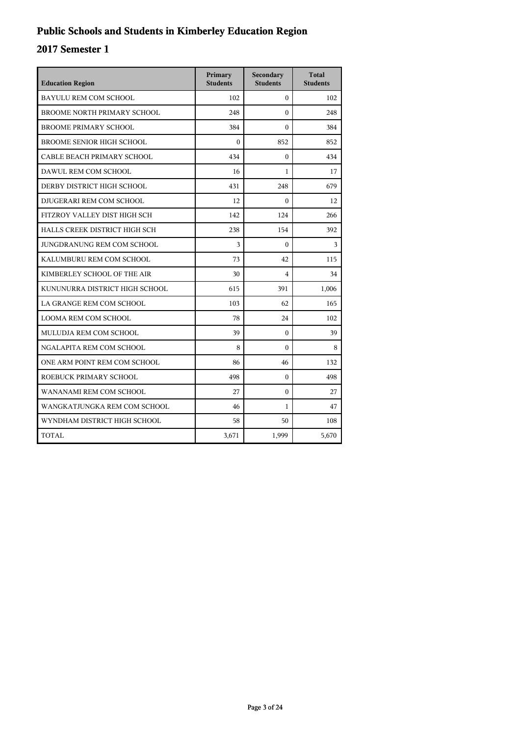## **Public Schools and Students in Kimberley Education Region**

| <b>Education Region</b>          | Primary<br><b>Students</b> | Secondary<br><b>Students</b> | <b>Total</b><br><b>Students</b> |
|----------------------------------|----------------------------|------------------------------|---------------------------------|
| <b>BAYULU REM COM SCHOOL</b>     | 102                        | $\mathbf{0}$                 | 102                             |
| BROOME NORTH PRIMARY SCHOOL      | 248                        | $\Omega$                     | 248                             |
| <b>BROOME PRIMARY SCHOOL</b>     | 384                        | $\mathbf{0}$                 | 384                             |
| <b>BROOME SENIOR HIGH SCHOOL</b> | $\theta$                   | 852                          | 852                             |
| CABLE BEACH PRIMARY SCHOOL       | 434                        | $\theta$                     | 434                             |
| DAWUL REM COM SCHOOL             | 16                         | $\mathbf{1}$                 | 17                              |
| DERBY DISTRICT HIGH SCHOOL       | 431                        | 248                          | 679                             |
| DJUGERARI REM COM SCHOOL         | 12                         | $\mathbf{0}$                 | 12                              |
| FITZROY VALLEY DIST HIGH SCH     | 142                        | 124                          | 266                             |
| HALLS CREEK DISTRICT HIGH SCH    | 238                        | 154                          | 392                             |
| JUNGDRANUNG REM COM SCHOOL       | 3                          | $\theta$                     | 3                               |
| KALUMBURU REM COM SCHOOL         | 73                         | 42                           | 115                             |
| KIMBERLEY SCHOOL OF THE AIR      | 30                         | $\overline{4}$               | 34                              |
| KUNUNURRA DISTRICT HIGH SCHOOL   | 615                        | 391                          | 1,006                           |
| LA GRANGE REM COM SCHOOL         | 103                        | 62                           | 165                             |
| <b>LOOMA REM COM SCHOOL</b>      | 78                         | 24                           | 102                             |
| MULUDJA REM COM SCHOOL           | 39                         | $\Omega$                     | 39                              |
| NGALAPITA REM COM SCHOOL         | 8                          | $\mathbf{0}$                 | 8                               |
| ONE ARM POINT REM COM SCHOOL     | 86                         | 46                           | 132                             |
| ROEBUCK PRIMARY SCHOOL           | 498                        | $\boldsymbol{0}$             | 498                             |
| WANANAMI REM COM SCHOOL          | 27                         | $\Omega$                     | 27                              |
| WANGKATJUNGKA REM COM SCHOOL     | 46                         | $\mathbf{1}$                 | 47                              |
| WYNDHAM DISTRICT HIGH SCHOOL     | 58                         | 50                           | 108                             |
| TOTAL                            | 3,671                      | 1,999                        | 5,670                           |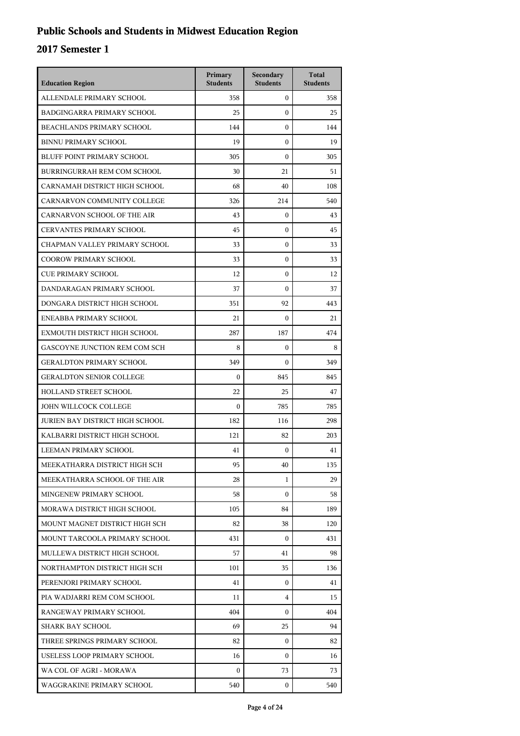## **Public Schools and Students in Midwest Education Region**

| <b>Education Region</b>           | Primary<br><b>Students</b> | Secondary<br><b>Students</b> | <b>Total</b><br><b>Students</b> |
|-----------------------------------|----------------------------|------------------------------|---------------------------------|
| ALLENDALE PRIMARY SCHOOL          | 358                        | $\mathbf{0}$                 | 358                             |
| BADGINGARRA PRIMARY SCHOOL        | 25                         | $\mathbf{0}$                 | 25                              |
| BEACHLANDS PRIMARY SCHOOL         | 144                        | $\mathbf{0}$                 | 144                             |
| <b>BINNU PRIMARY SCHOOL</b>       | 19                         | $\mathbf{0}$                 | 19                              |
| <b>BLUFF POINT PRIMARY SCHOOL</b> | 305                        | $\mathbf{0}$                 | 305                             |
| BURRINGURRAH REM COM SCHOOL       | 30                         | 21                           | 51                              |
| CARNAMAH DISTRICT HIGH SCHOOL     | 68                         | 40                           | 108                             |
| CARNARVON COMMUNITY COLLEGE       | 326                        | 214                          | 540                             |
| CARNARVON SCHOOL OF THE AIR       | 43                         | $\mathbf{0}$                 | 43                              |
| <b>CERVANTES PRIMARY SCHOOL</b>   | 45                         | $\mathbf{0}$                 | 45                              |
| CHAPMAN VALLEY PRIMARY SCHOOL     | 33                         | $\mathbf{0}$                 | 33                              |
| <b>COOROW PRIMARY SCHOOL</b>      | 33                         | $\mathbf{0}$                 | 33                              |
| <b>CUE PRIMARY SCHOOL</b>         | 12                         | $\mathbf{0}$                 | 12                              |
| DANDARAGAN PRIMARY SCHOOL         | 37                         | $\mathbf{0}$                 | 37                              |
| DONGARA DISTRICT HIGH SCHOOL      | 351                        | 92                           | 443                             |
| ENEABBA PRIMARY SCHOOL            | 21                         | $\mathbf{0}$                 | 21                              |
| EXMOUTH DISTRICT HIGH SCHOOL      | 287                        | 187                          | 474                             |
| GASCOYNE JUNCTION REM COM SCH     | 8                          | $\mathbf{0}$                 | 8                               |
| <b>GERALDTON PRIMARY SCHOOL</b>   | 349                        | $\mathbf{0}$                 | 349                             |
| <b>GERALDTON SENIOR COLLEGE</b>   | $\Omega$                   | 845                          | 845                             |
| <b>HOLLAND STREET SCHOOL</b>      | 22                         | 25                           | 47                              |
| JOHN WILLCOCK COLLEGE             | $\Omega$                   | 785                          | 785                             |
| JURIEN BAY DISTRICT HIGH SCHOOL   | 182                        | 116                          | 298                             |
| KALBARRI DISTRICT HIGH SCHOOL     | 121                        | 82                           | 203                             |
| LEEMAN PRIMARY SCHOOL             | 41                         | $\mathbf{0}$                 | 41                              |
| MEEKATHARRA DISTRICT HIGH SCH     | 95                         | 40                           | 135                             |
| MEEKATHARRA SCHOOL OF THE AIR     | 28                         | 1                            | 29                              |
| MINGENEW PRIMARY SCHOOL           | 58                         | $\mathbf{0}$                 | 58                              |
| MORAWA DISTRICT HIGH SCHOOL       | 105                        | 84                           | 189                             |
| MOUNT MAGNET DISTRICT HIGH SCH    | 82                         | 38                           | 120                             |
| MOUNT TARCOOLA PRIMARY SCHOOL     | 431                        | $\mathbf{0}$                 | 431                             |
| MULLEWA DISTRICT HIGH SCHOOL      | 57                         | 41                           | 98                              |
| NORTHAMPTON DISTRICT HIGH SCH     | 101                        | 35                           | 136                             |
| PERENJORI PRIMARY SCHOOL          | 41                         | $\mathbf{0}$                 | 41                              |
| PIA WADJARRI REM COM SCHOOL       | 11                         | 4                            | 15                              |
| RANGEWAY PRIMARY SCHOOL           | 404                        | $\overline{0}$               | 404                             |
| SHARK BAY SCHOOL                  | 69                         | 25                           | 94                              |
| THREE SPRINGS PRIMARY SCHOOL      | 82                         | $\mathbf{0}$                 | 82                              |
| USELESS LOOP PRIMARY SCHOOL       | 16                         | $\mathbf{0}$                 | 16                              |
| WA COL OF AGRI - MORAWA           | $\boldsymbol{0}$           | 73                           | 73                              |
| WAGGRAKINE PRIMARY SCHOOL         | 540                        | 0                            | 540                             |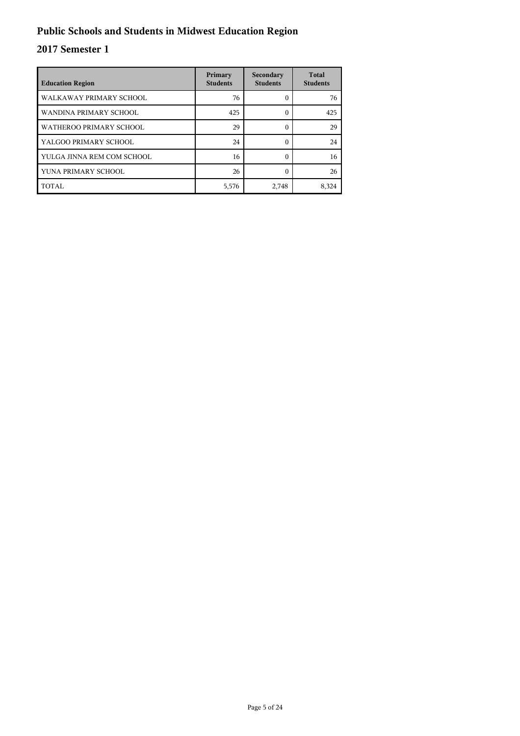## **Public Schools and Students in Midwest Education Region**

| <b>Education Region</b>    | Primary<br><b>Students</b> | Secondary<br><b>Students</b> | <b>Total</b><br><b>Students</b> |
|----------------------------|----------------------------|------------------------------|---------------------------------|
| WALKAWAY PRIMARY SCHOOL    | 76                         | 0                            | 76                              |
| WANDINA PRIMARY SCHOOL     | 425                        | 0                            | 425                             |
| WATHEROO PRIMARY SCHOOL    | 29                         | 0                            | 29                              |
| YALGOO PRIMARY SCHOOL      | 24                         | 0                            | 24                              |
| YULGA JINNA REM COM SCHOOL | 16                         | $\Omega$                     | 16                              |
| YUNA PRIMARY SCHOOL        | 26                         | ſ                            | 26                              |
| TOTAL                      | 5,576                      | 2,748                        | 8,324                           |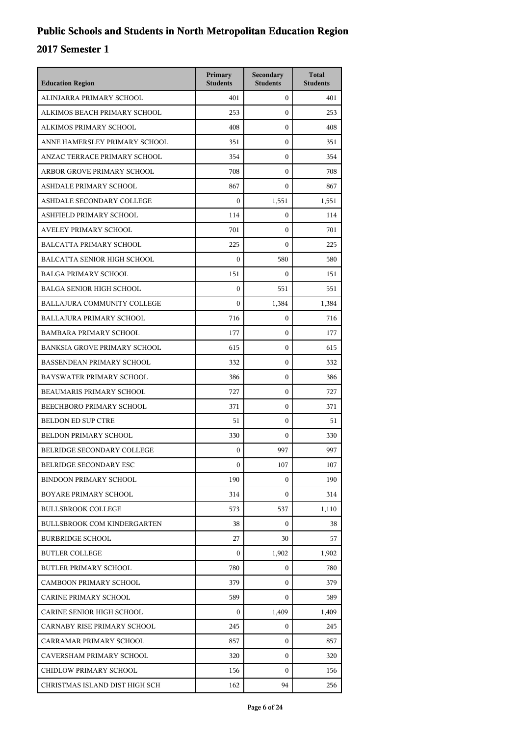| <b>Education Region</b>             | Primary<br><b>Students</b> | Secondary<br><b>Students</b> | <b>Total</b><br><b>Students</b> |
|-------------------------------------|----------------------------|------------------------------|---------------------------------|
| ALINJARRA PRIMARY SCHOOL            | 401                        | $\mathbf{0}$                 | 401                             |
| ALKIMOS BEACH PRIMARY SCHOOL        | 253                        | $\mathbf{0}$                 | 253                             |
| ALKIMOS PRIMARY SCHOOL              | 408                        | $\mathbf{0}$                 | 408                             |
| ANNE HAMERSLEY PRIMARY SCHOOL       | 351                        | $\mathbf{0}$                 | 351                             |
| ANZAC TERRACE PRIMARY SCHOOL        | 354                        | $\mathbf{0}$                 | 354                             |
| ARBOR GROVE PRIMARY SCHOOL          | 708                        | $\mathbf{0}$                 | 708                             |
| ASHDALE PRIMARY SCHOOL              | 867                        | $\mathbf{0}$                 | 867                             |
| ASHDALE SECONDARY COLLEGE           | $\Omega$                   | 1,551                        | 1,551                           |
| ASHFIELD PRIMARY SCHOOL             | 114                        | $\mathbf{0}$                 | 114                             |
| AVELEY PRIMARY SCHOOL               | 701                        | $\mathbf{0}$                 | 701                             |
| <b>BALCATTA PRIMARY SCHOOL</b>      | 225                        | $\mathbf{0}$                 | 225                             |
| <b>BALCATTA SENIOR HIGH SCHOOL</b>  | $\mathbf{0}$               | 580                          | 580                             |
| <b>BALGA PRIMARY SCHOOL</b>         | 151                        | $\mathbf{0}$                 | 151                             |
| <b>BALGA SENIOR HIGH SCHOOL</b>     | $\mathbf{0}$               | 551                          | 551                             |
| <b>BALLAJURA COMMUNITY COLLEGE</b>  | $\Omega$                   | 1,384                        | 1,384                           |
| <b>BALLAJURA PRIMARY SCHOOL</b>     | 716                        | $\boldsymbol{0}$             | 716                             |
| <b>BAMBARA PRIMARY SCHOOL</b>       | 177                        | $\mathbf{0}$                 | 177                             |
| <b>BANKSIA GROVE PRIMARY SCHOOL</b> | 615                        | $\mathbf{0}$                 | 615                             |
| <b>BASSENDEAN PRIMARY SCHOOL</b>    | 332                        | $\mathbf{0}$                 | 332                             |
| BAYSWATER PRIMARY SCHOOL            | 386                        | $\mathbf{0}$                 | 386                             |
| BEAUMARIS PRIMARY SCHOOL            | 727                        | $\mathbf{0}$                 | 727                             |
| BEECHBORO PRIMARY SCHOOL            | 371                        | $\mathbf{0}$                 | 371                             |
| <b>BELDON ED SUP CTRE</b>           | 51                         | $\mathbf{0}$                 | 51                              |
| BELDON PRIMARY SCHOOL               | 330                        | $\boldsymbol{0}$             | 330                             |
| BELRIDGE SECONDARY COLLEGE          | 0                          | 997                          | 997                             |
| BELRIDGE SECONDARY ESC              | 0                          | 107                          | 107                             |
| <b>BINDOON PRIMARY SCHOOL</b>       | 190                        | $\mathbf{0}$                 | 190                             |
| <b>BOYARE PRIMARY SCHOOL</b>        | 314                        | $\mathbf{0}$                 | 314                             |
| <b>BULLSBROOK COLLEGE</b>           | 573                        | 537                          | 1,110                           |
| <b>BULLSBROOK COM KINDERGARTEN</b>  | 38                         | $\overline{0}$               | 38                              |
| <b>BURBRIDGE SCHOOL</b>             | 27                         | 30                           | 57                              |
| <b>BUTLER COLLEGE</b>               | $\boldsymbol{0}$           | 1,902                        | 1,902                           |
| <b>BUTLER PRIMARY SCHOOL</b>        | 780                        | $\mathbf{0}$                 | 780                             |
| <b>CAMBOON PRIMARY SCHOOL</b>       | 379                        | 0                            | 379                             |
| <b>CARINE PRIMARY SCHOOL</b>        | 589                        | $\overline{0}$               | 589                             |
| CARINE SENIOR HIGH SCHOOL           | 0                          | 1,409                        | 1,409                           |
| CARNABY RISE PRIMARY SCHOOL         | 245                        | $\mathbf{0}$                 | 245                             |
| CARRAMAR PRIMARY SCHOOL             | 857                        | $\mathbf{0}$                 | 857                             |
| CAVERSHAM PRIMARY SCHOOL            | 320                        | 0                            | 320                             |
| CHIDLOW PRIMARY SCHOOL              | 156                        | $\overline{0}$               | 156                             |
| CHRISTMAS ISLAND DIST HIGH SCH      | 162                        | 94                           | 256                             |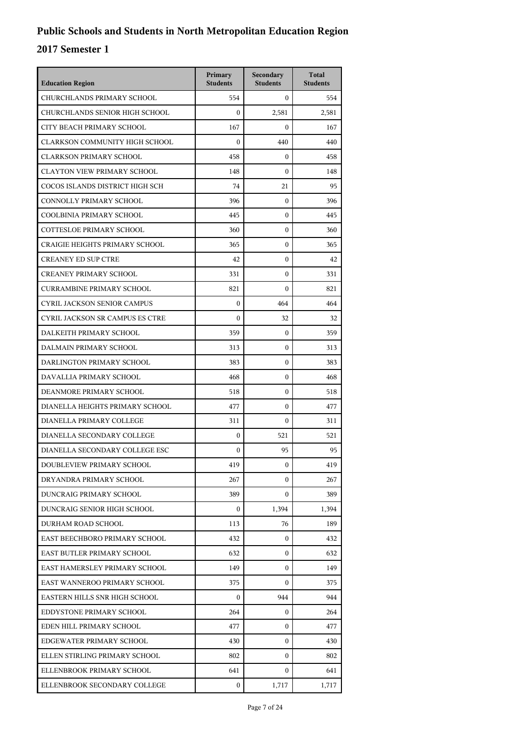| <b>Education Region</b>               | Primary<br><b>Students</b> | Secondary<br><b>Students</b> | <b>Total</b><br><b>Students</b> |
|---------------------------------------|----------------------------|------------------------------|---------------------------------|
| CHURCHLANDS PRIMARY SCHOOL            | 554                        | $\Omega$                     | 554                             |
| CHURCHLANDS SENIOR HIGH SCHOOL        | $\boldsymbol{0}$           | 2,581                        | 2,581                           |
| CITY BEACH PRIMARY SCHOOL             | 167                        | $\mathbf{0}$                 | 167                             |
| CLARKSON COMMUNITY HIGH SCHOOL        | $\mathbf{0}$               | 440                          | 440                             |
| <b>CLARKSON PRIMARY SCHOOL</b>        | 458                        | $\boldsymbol{0}$             | 458                             |
| <b>CLAYTON VIEW PRIMARY SCHOOL</b>    | 148                        | $\Omega$                     | 148                             |
| COCOS ISLANDS DISTRICT HIGH SCH       | 74                         | 21                           | 95                              |
| CONNOLLY PRIMARY SCHOOL               | 396                        | $\mathbf{0}$                 | 396                             |
| COOLBINIA PRIMARY SCHOOL              | 445                        | $\mathbf{0}$                 | 445                             |
| COTTESLOE PRIMARY SCHOOL              | 360                        | $\mathbf{0}$                 | 360                             |
| <b>CRAIGIE HEIGHTS PRIMARY SCHOOL</b> | 365                        | $\mathbf{0}$                 | 365                             |
| <b>CREANEY ED SUP CTRE</b>            | 42                         | $\mathbf{0}$                 | 42                              |
| <b>CREANEY PRIMARY SCHOOL</b>         | 331                        | $\mathbf{0}$                 | 331                             |
| <b>CURRAMBINE PRIMARY SCHOOL</b>      | 821                        | $\mathbf{0}$                 | 821                             |
| <b>CYRIL JACKSON SENIOR CAMPUS</b>    | $\Omega$                   | 464                          | 464                             |
| CYRIL JACKSON SR CAMPUS ES CTRE       | $\theta$                   | 32                           | 32                              |
| DALKEITH PRIMARY SCHOOL               | 359                        | $\mathbf{0}$                 | 359                             |
| DALMAIN PRIMARY SCHOOL                | 313                        | $\mathbf{0}$                 | 313                             |
| DARLINGTON PRIMARY SCHOOL             | 383                        | $\mathbf{0}$                 | 383                             |
| DAVALLIA PRIMARY SCHOOL               | 468                        | $\mathbf{0}$                 | 468                             |
| DEANMORE PRIMARY SCHOOL               | 518                        | $\mathbf{0}$                 | 518                             |
| DIANELLA HEIGHTS PRIMARY SCHOOL       | 477                        | $\mathbf{0}$                 | 477                             |
| DIANELLA PRIMARY COLLEGE              | 311                        | $\mathbf{0}$                 | 311                             |
| DIANELLA SECONDARY COLLEGE            | $\boldsymbol{0}$           | 521                          | 521                             |
| DIANELLA SECONDARY COLLEGE ESC        | $\boldsymbol{0}$           | 95                           | 95                              |
| DOUBLEVIEW PRIMARY SCHOOL             | 419                        | $\boldsymbol{0}$             | 419                             |
| DRYANDRA PRIMARY SCHOOL               | 267                        | $\overline{0}$               | 267                             |
| DUNCRAIG PRIMARY SCHOOL               | 389                        | $\overline{0}$               | 389                             |
| DUNCRAIG SENIOR HIGH SCHOOL           | $\mathbf{0}$               | 1,394                        | 1,394                           |
| DURHAM ROAD SCHOOL                    | 113                        | 76                           | 189                             |
| EAST BEECHBORO PRIMARY SCHOOL         | 432                        | $\mathbf{0}$                 | 432                             |
| EAST BUTLER PRIMARY SCHOOL            | 632                        | $\mathbf{0}$                 | 632                             |
| EAST HAMERSLEY PRIMARY SCHOOL         | 149                        | $\mathbf{0}$                 | 149                             |
| EAST WANNEROO PRIMARY SCHOOL          | 375                        | $\mathbf{0}$                 | 375                             |
| EASTERN HILLS SNR HIGH SCHOOL         | 0                          | 944                          | 944                             |
| EDDYSTONE PRIMARY SCHOOL              | 264                        | $\mathbf{0}$                 | 264                             |
| EDEN HILL PRIMARY SCHOOL              | 477                        | $\mathbf{0}$                 | 477                             |
| EDGEWATER PRIMARY SCHOOL              | 430                        | $\mathbf{0}$                 | 430                             |
| ELLEN STIRLING PRIMARY SCHOOL         | 802                        | $\mathbf{0}$                 | 802                             |
| ELLENBROOK PRIMARY SCHOOL             | 641                        | $\mathbf{0}$                 | 641                             |
| ELLENBROOK SECONDARY COLLEGE          | 0                          | 1,717                        | 1,717                           |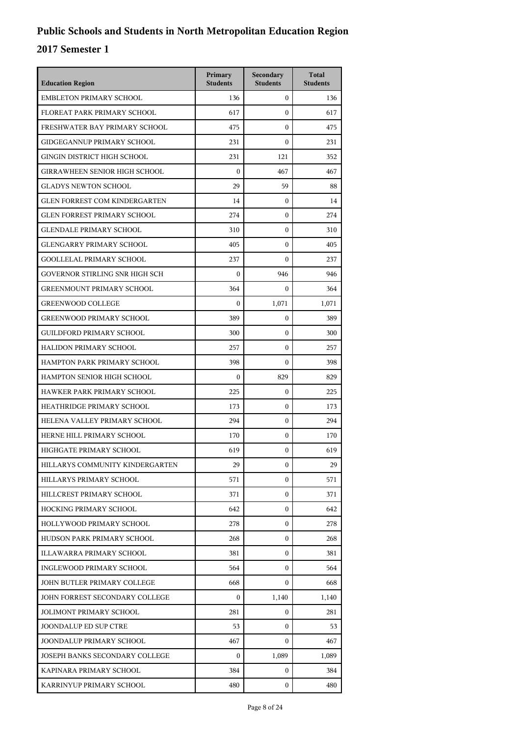| <b>Education Region</b>              | Primary<br><b>Students</b> | Secondary<br><b>Students</b> | <b>Total</b><br><b>Students</b> |
|--------------------------------------|----------------------------|------------------------------|---------------------------------|
| <b>EMBLETON PRIMARY SCHOOL</b>       | 136                        | $\mathbf{0}$                 | 136                             |
| FLOREAT PARK PRIMARY SCHOOL          | 617                        | $\mathbf{0}$                 | 617                             |
| FRESHWATER BAY PRIMARY SCHOOL        | 475                        | $\mathbf{0}$                 | 475                             |
| GIDGEGANNUP PRIMARY SCHOOL           | 231                        | $\mathbf{0}$                 | 231                             |
| GINGIN DISTRICT HIGH SCHOOL          | 231                        | 121                          | 352                             |
| <b>GIRRAWHEEN SENIOR HIGH SCHOOL</b> | $\mathbf{0}$               | 467                          | 467                             |
| <b>GLADYS NEWTON SCHOOL</b>          | 29                         | 59                           | 88                              |
| <b>GLEN FORREST COM KINDERGARTEN</b> | 14                         | $\mathbf{0}$                 | 14                              |
| <b>GLEN FORREST PRIMARY SCHOOL</b>   | 274                        | $\mathbf{0}$                 | 274                             |
| <b>GLENDALE PRIMARY SCHOOL</b>       | 310                        | 0                            | 310                             |
| <b>GLENGARRY PRIMARY SCHOOL</b>      | 405                        | $\mathbf{0}$                 | 405                             |
| <b>GOOLLELAL PRIMARY SCHOOL</b>      | 237                        | $\mathbf{0}$                 | 237                             |
| GOVERNOR STIRLING SNR HIGH SCH       | $\mathbf{0}$               | 946                          | 946                             |
| <b>GREENMOUNT PRIMARY SCHOOL</b>     | 364                        | $\mathbf{0}$                 | 364                             |
| <b>GREENWOOD COLLEGE</b>             | $\boldsymbol{0}$           | 1,071                        | 1,071                           |
| <b>GREENWOOD PRIMARY SCHOOL</b>      | 389                        | $\mathbf{0}$                 | 389                             |
| <b>GUILDFORD PRIMARY SCHOOL</b>      | 300                        | $\mathbf{0}$                 | 300                             |
| HALIDON PRIMARY SCHOOL               | 257                        | $\mathbf{0}$                 | 257                             |
| HAMPTON PARK PRIMARY SCHOOL          | 398                        | $\mathbf{0}$                 | 398                             |
| HAMPTON SENIOR HIGH SCHOOL           | $\boldsymbol{0}$           | 829                          | 829                             |
| HAWKER PARK PRIMARY SCHOOL           | 225                        | $\mathbf{0}$                 | 225                             |
| HEATHRIDGE PRIMARY SCHOOL            | 173                        | $\mathbf{0}$                 | 173                             |
| HELENA VALLEY PRIMARY SCHOOL         | 294                        | $\mathbf{0}$                 | 294                             |
| HERNE HILL PRIMARY SCHOOL            | 170                        | $\mathbf{0}$                 | 170                             |
| HIGHGATE PRIMARY SCHOOL              | 619                        | $\mathbf{0}$                 | 619                             |
| HILLARYS COMMUNITY KINDERGARTEN      | 29                         | $\boldsymbol{0}$             | 29                              |
| HILLARYS PRIMARY SCHOOL              | 571                        | $\mathbf{0}$                 | 571                             |
| HILLCREST PRIMARY SCHOOL             | 371                        | $\mathbf{0}$                 | 371                             |
| <b>HOCKING PRIMARY SCHOOL</b>        | 642                        | $\mathbf{0}$                 | 642                             |
| HOLLYWOOD PRIMARY SCHOOL             | 278                        | $\mathbf{0}$                 | 278                             |
| HUDSON PARK PRIMARY SCHOOL           | 268                        | $\mathbf{0}$                 | 268                             |
| ILLAWARRA PRIMARY SCHOOL             | 381                        | $\mathbf{0}$                 | 381                             |
| INGLEWOOD PRIMARY SCHOOL             | 564                        | $\mathbf{0}$                 | 564                             |
| JOHN BUTLER PRIMARY COLLEGE          | 668                        | $\mathbf{0}$                 | 668                             |
| JOHN FORREST SECONDARY COLLEGE       | 0                          | 1,140                        | 1,140                           |
| <b>JOLIMONT PRIMARY SCHOOL</b>       | 281                        | $\mathbf{0}$                 | 281                             |
| <b>JOONDALUP ED SUP CTRE</b>         | 53                         | $\mathbf{0}$                 | 53                              |
| JOONDALUP PRIMARY SCHOOL             | 467                        | $\mathbf{0}$                 | 467                             |
| JOSEPH BANKS SECONDARY COLLEGE       | $\mathbf{0}$               | 1,089                        | 1,089                           |
| KAPINARA PRIMARY SCHOOL              | 384                        | $\mathbf{0}$                 | 384                             |
| KARRINYUP PRIMARY SCHOOL             | 480                        | $\mathbf{0}$                 | 480                             |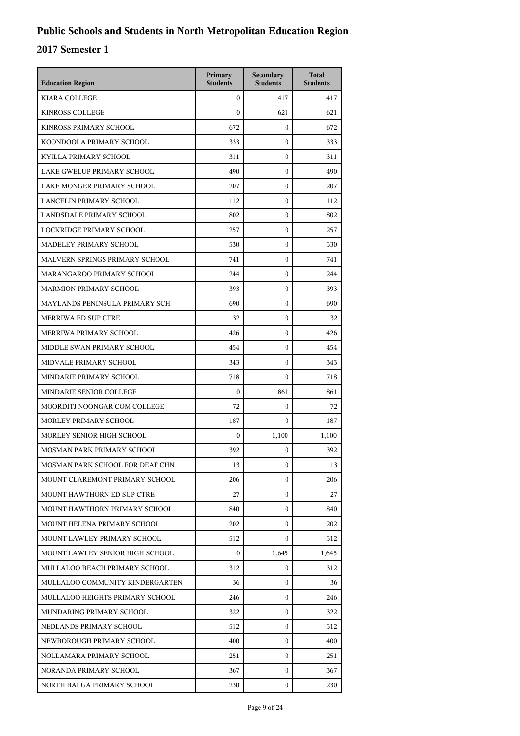| <b>Education Region</b>         | Primary<br><b>Students</b> | Secondary<br><b>Students</b> | <b>Total</b><br><b>Students</b> |
|---------------------------------|----------------------------|------------------------------|---------------------------------|
| <b>KIARA COLLEGE</b>            | $\overline{0}$             | 417                          | 417                             |
| <b>KINROSS COLLEGE</b>          | $\theta$                   | 621                          | 621                             |
| KINROSS PRIMARY SCHOOL          | 672                        | $\boldsymbol{0}$             | 672                             |
| KOONDOOLA PRIMARY SCHOOL        | 333                        | $\boldsymbol{0}$             | 333                             |
| KYILLA PRIMARY SCHOOL           | 311                        | $\boldsymbol{0}$             | 311                             |
| LAKE GWELUP PRIMARY SCHOOL      | 490                        | $\boldsymbol{0}$             | 490                             |
| LAKE MONGER PRIMARY SCHOOL      | 207                        | $\mathbf{0}$                 | 207                             |
| LANCELIN PRIMARY SCHOOL         | 112                        | $\mathbf{0}$                 | 112                             |
| LANDSDALE PRIMARY SCHOOL        | 802                        | $\boldsymbol{0}$             | 802                             |
| LOCKRIDGE PRIMARY SCHOOL        | 257                        | $\boldsymbol{0}$             | 257                             |
| MADELEY PRIMARY SCHOOL          | 530                        | $\boldsymbol{0}$             | 530                             |
| MALVERN SPRINGS PRIMARY SCHOOL  | 741                        | $\mathbf{0}$                 | 741                             |
| MARANGAROO PRIMARY SCHOOL       | 244                        | $\boldsymbol{0}$             | 244                             |
| <b>MARMION PRIMARY SCHOOL</b>   | 393                        | $\boldsymbol{0}$             | 393                             |
| MAYLANDS PENINSULA PRIMARY SCH  | 690                        | $\boldsymbol{0}$             | 690                             |
| <b>MERRIWA ED SUP CTRE</b>      | 32                         | $\boldsymbol{0}$             | 32                              |
| MERRIWA PRIMARY SCHOOL          | 426                        | $\mathbf{0}$                 | 426                             |
| MIDDLE SWAN PRIMARY SCHOOL      | 454                        | $\boldsymbol{0}$             | 454                             |
| MIDVALE PRIMARY SCHOOL          | 343                        | $\boldsymbol{0}$             | 343                             |
| MINDARIE PRIMARY SCHOOL         | 718                        | $\boldsymbol{0}$             | 718                             |
| MINDARIE SENIOR COLLEGE         | $\boldsymbol{0}$           | 861                          | 861                             |
| MOORDITJ NOONGAR COM COLLEGE    | 72                         | $\mathbf{0}$                 | 72                              |
| MORLEY PRIMARY SCHOOL           | 187                        | $\boldsymbol{0}$             | 187                             |
| MORLEY SENIOR HIGH SCHOOL       | $\boldsymbol{0}$           | 1,100                        | 1,100                           |
| MOSMAN PARK PRIMARY SCHOOL      | 392                        | $\mathbf{0}$                 | 392                             |
| MOSMAN PARK SCHOOL FOR DEAF CHN | 13                         | 0                            | 13                              |
| MOUNT CLAREMONT PRIMARY SCHOOL  | 206                        | $\mathbf{0}$                 | 206                             |
| MOUNT HAWTHORN ED SUP CTRE      | 27                         | $\mathbf{0}$                 | 27                              |
| MOUNT HAWTHORN PRIMARY SCHOOL   | 840                        | $\mathbf{0}$                 | 840                             |
| MOUNT HELENA PRIMARY SCHOOL     | 202                        | $\mathbf{0}$                 | 202                             |
| MOUNT LAWLEY PRIMARY SCHOOL     | 512                        | $\mathbf{0}$                 | 512                             |
| MOUNT LAWLEY SENIOR HIGH SCHOOL | $\Omega$                   | 1,645                        | 1,645                           |
| MULLALOO BEACH PRIMARY SCHOOL   | 312                        | 0                            | 312                             |
| MULLALOO COMMUNITY KINDERGARTEN | 36                         | 0                            | 36                              |
| MULLALOO HEIGHTS PRIMARY SCHOOL | 246                        | $\mathbf{0}$                 | 246                             |
| MUNDARING PRIMARY SCHOOL        | 322                        | $\mathbf{0}$                 | 322                             |
| NEDLANDS PRIMARY SCHOOL         | 512                        | $\mathbf{0}$                 | 512                             |
| NEWBOROUGH PRIMARY SCHOOL       | 400                        | $\mathbf{0}$                 | 400                             |
| NOLLAMARA PRIMARY SCHOOL        | 251                        | 0                            | 251                             |
| NORANDA PRIMARY SCHOOL          | 367                        | $\mathbf{0}$                 | 367                             |
| NORTH BALGA PRIMARY SCHOOL      | 230                        | $\mathbf{0}$                 | 230                             |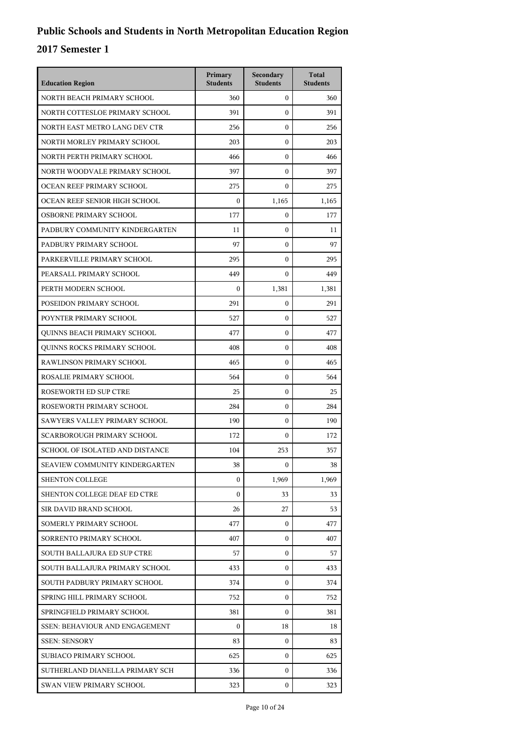| <b>Education Region</b>               | Primary<br><b>Students</b> | Secondary<br><b>Students</b> | <b>Total</b><br><b>Students</b> |
|---------------------------------------|----------------------------|------------------------------|---------------------------------|
| NORTH BEACH PRIMARY SCHOOL            | 360                        | $\mathbf{0}$                 | 360                             |
| NORTH COTTESLOE PRIMARY SCHOOL        | 391                        | $\boldsymbol{0}$             | 391                             |
| NORTH EAST METRO LANG DEV CTR         | 256                        | $\boldsymbol{0}$             | 256                             |
| NORTH MORLEY PRIMARY SCHOOL           | 203                        | $\boldsymbol{0}$             | 203                             |
| NORTH PERTH PRIMARY SCHOOL            | 466                        | $\mathbf{0}$                 | 466                             |
| NORTH WOODVALE PRIMARY SCHOOL         | 397                        | $\mathbf{0}$                 | 397                             |
| OCEAN REEF PRIMARY SCHOOL             | 275                        | $\boldsymbol{0}$             | 275                             |
| OCEAN REEF SENIOR HIGH SCHOOL         | $\mathbf{0}$               | 1,165                        | 1,165                           |
| OSBORNE PRIMARY SCHOOL                | 177                        | $\boldsymbol{0}$             | 177                             |
| PADBURY COMMUNITY KINDERGARTEN        | 11                         | 0                            | 11                              |
| PADBURY PRIMARY SCHOOL                | 97                         | $\mathbf{0}$                 | 97                              |
| PARKERVILLE PRIMARY SCHOOL            | 295                        | $\mathbf{0}$                 | 295                             |
| PEARSALL PRIMARY SCHOOL               | 449                        | $\boldsymbol{0}$             | 449                             |
| PERTH MODERN SCHOOL                   | $\boldsymbol{0}$           | 1,381                        | 1,381                           |
| POSEIDON PRIMARY SCHOOL               | 291                        | $\mathbf{0}$                 | 291                             |
| POYNTER PRIMARY SCHOOL                | 527                        | $\mathbf{0}$                 | 527                             |
| QUINNS BEACH PRIMARY SCHOOL           | 477                        | $\boldsymbol{0}$             | 477                             |
| QUINNS ROCKS PRIMARY SCHOOL           | 408                        | $\boldsymbol{0}$             | 408                             |
| RAWLINSON PRIMARY SCHOOL              | 465                        | $\boldsymbol{0}$             | 465                             |
| ROSALIE PRIMARY SCHOOL                | 564                        | $\mathbf{0}$                 | 564                             |
| ROSEWORTH ED SUP CTRE                 | 25                         | $\mathbf{0}$                 | 25                              |
| ROSEWORTH PRIMARY SCHOOL              | 284                        | $\boldsymbol{0}$             | 284                             |
| SAWYERS VALLEY PRIMARY SCHOOL         | 190                        | $\boldsymbol{0}$             | 190                             |
| SCARBOROUGH PRIMARY SCHOOL            | 172                        | $\mathbf{0}$                 | 172                             |
| SCHOOL OF ISOLATED AND DISTANCE       | 104                        | 253                          | 357                             |
| <b>SEAVIEW COMMUNITY KINDERGARTEN</b> | 38                         | $\mathbf{0}$                 | 38                              |
| <b>SHENTON COLLEGE</b>                | $\mathbf{0}$               | 1,969                        | 1,969                           |
| SHENTON COLLEGE DEAF ED CTRE          | $\Omega$                   | 33                           | 33                              |
| SIR DAVID BRAND SCHOOL                | 26                         | 27                           | 53                              |
| SOMERLY PRIMARY SCHOOL                | 477                        | $\mathbf{0}$                 | 477                             |
| SORRENTO PRIMARY SCHOOL               | 407                        | 0                            | 407                             |
| SOUTH BALLAJURA ED SUP CTRE           | 57                         | $\mathbf{0}$                 | 57                              |
| SOUTH BALLAJURA PRIMARY SCHOOL        | 433                        | $\mathbf{0}$                 | 433                             |
| SOUTH PADBURY PRIMARY SCHOOL          | 374                        | $\mathbf{0}$                 | 374                             |
| SPRING HILL PRIMARY SCHOOL            | 752                        | $\mathbf{0}$                 | 752                             |
| SPRINGFIELD PRIMARY SCHOOL            | 381                        | 0                            | 381                             |
| <b>SSEN: BEHAVIOUR AND ENGAGEMENT</b> | $\mathbf{0}$               | 18                           | 18                              |
| <b>SSEN: SENSORY</b>                  | 83                         | $\mathbf{0}$                 | 83                              |
| SUBIACO PRIMARY SCHOOL                | 625                        | $\mathbf{0}$                 | 625                             |
| SUTHERLAND DIANELLA PRIMARY SCH       | 336                        | $\mathbf{0}$                 | 336                             |
| SWAN VIEW PRIMARY SCHOOL              | 323                        | $\mathbf{0}$                 | 323                             |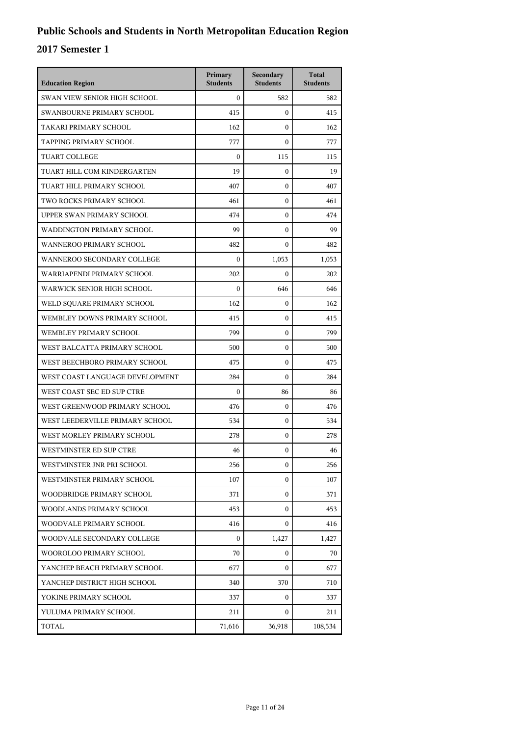| <b>Education Region</b>         | Primary<br><b>Students</b> | Secondary<br><b>Students</b> | <b>Total</b><br><b>Students</b> |
|---------------------------------|----------------------------|------------------------------|---------------------------------|
| SWAN VIEW SENIOR HIGH SCHOOL    | $\Omega$                   | 582                          | 582                             |
| SWANBOURNE PRIMARY SCHOOL       | 415                        | $\mathbf{0}$                 | 415                             |
| TAKARI PRIMARY SCHOOL           | 162                        | $\Omega$                     | 162                             |
| TAPPING PRIMARY SCHOOL          | 777                        | $\boldsymbol{0}$             | 777                             |
| <b>TUART COLLEGE</b>            | $\mathbf{0}$               | 115                          | 115                             |
| TUART HILL COM KINDERGARTEN     | 19                         | $\mathbf{0}$                 | 19                              |
| TUART HILL PRIMARY SCHOOL       | 407                        | $\mathbf{0}$                 | 407                             |
| TWO ROCKS PRIMARY SCHOOL        | 461                        | $\Omega$                     | 461                             |
| UPPER SWAN PRIMARY SCHOOL       | 474                        | $\boldsymbol{0}$             | 474                             |
| WADDINGTON PRIMARY SCHOOL       | 99                         | $\boldsymbol{0}$             | 99                              |
| <b>WANNEROO PRIMARY SCHOOL</b>  | 482                        | $\mathbf{0}$                 | 482                             |
| WANNEROO SECONDARY COLLEGE      | $\boldsymbol{0}$           | 1,053                        | 1,053                           |
| WARRIAPENDI PRIMARY SCHOOL      | 202                        | $\mathbf{0}$                 | 202                             |
| WARWICK SENIOR HIGH SCHOOL      | $\boldsymbol{0}$           | 646                          | 646                             |
| WELD SQUARE PRIMARY SCHOOL      | 162                        | $\mathbf{0}$                 | 162                             |
| WEMBLEY DOWNS PRIMARY SCHOOL    | 415                        | $\mathbf{0}$                 | 415                             |
| WEMBLEY PRIMARY SCHOOL          | 799                        | $\mathbf{0}$                 | 799                             |
| WEST BALCATTA PRIMARY SCHOOL    | 500                        | $\Omega$                     | 500                             |
| WEST BEECHBORO PRIMARY SCHOOL   | 475                        | $\mathbf{0}$                 | 475                             |
| WEST COAST LANGUAGE DEVELOPMENT | 284                        | $\mathbf{0}$                 | 284                             |
| WEST COAST SEC ED SUP CTRE      | $\boldsymbol{0}$           | 86                           | 86                              |
| WEST GREENWOOD PRIMARY SCHOOL   | 476                        | $\mathbf{0}$                 | 476                             |
| WEST LEEDERVILLE PRIMARY SCHOOL | 534                        | $\Omega$                     | 534                             |
| WEST MORLEY PRIMARY SCHOOL      | 278                        | $\mathbf{0}$                 | 278                             |
| WESTMINSTER ED SUP CTRE         | 46                         | $\boldsymbol{0}$             | 46                              |
| WESTMINSTER JNR PRI SCHOOL      | 256                        | $\mathbf{0}$                 | 256                             |
| WESTMINSTER PRIMARY SCHOOL      | 107                        | $\mathbf{0}$                 | 107                             |
| WOODBRIDGE PRIMARY SCHOOL       | 371                        | $\overline{0}$               | 371                             |
| WOODLANDS PRIMARY SCHOOL        | 453                        | $\mathbf{0}$                 | 453                             |
| WOODVALE PRIMARY SCHOOL         | 416                        | 0                            | 416                             |
| WOODVALE SECONDARY COLLEGE      | $\mathbf{0}$               | 1,427                        | 1,427                           |
| WOOROLOO PRIMARY SCHOOL         | 70                         | 0                            | 70                              |
| YANCHEP BEACH PRIMARY SCHOOL    | 677                        | $\mathbf{0}$                 | 677                             |
| YANCHEP DISTRICT HIGH SCHOOL    | 340                        | 370                          | 710                             |
| YOKINE PRIMARY SCHOOL           | 337                        | 0                            | 337                             |
| YULUMA PRIMARY SCHOOL           | 211                        | 0                            | 211                             |
| TOTAL                           | 71,616                     | 36,918                       | 108,534                         |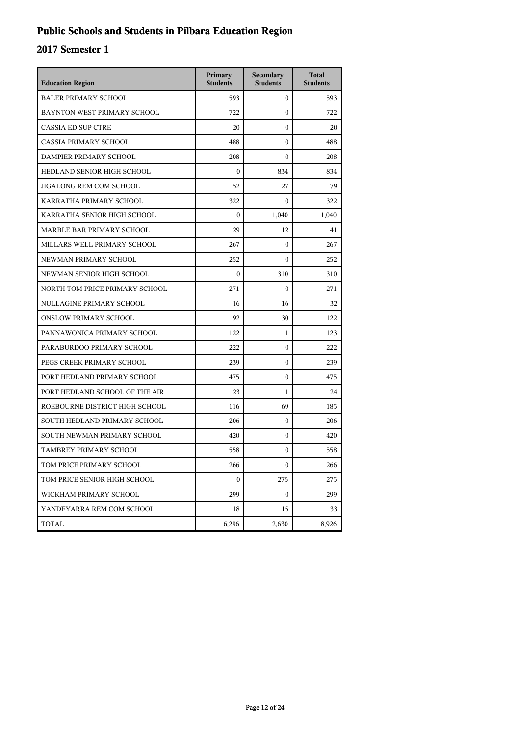## **Public Schools and Students in Pilbara Education Region**

| <b>Education Region</b>        | Primary<br><b>Students</b> | Secondary<br><b>Students</b> | <b>Total</b><br><b>Students</b> |
|--------------------------------|----------------------------|------------------------------|---------------------------------|
| <b>BALER PRIMARY SCHOOL</b>    | 593                        | 0                            | 593                             |
| BAYNTON WEST PRIMARY SCHOOL    | 722                        | 0                            | 722                             |
| <b>CASSIA ED SUP CTRE</b>      | 20                         | $\theta$                     | 20                              |
| CASSIA PRIMARY SCHOOL          | 488                        | 0                            | 488                             |
| DAMPIER PRIMARY SCHOOL         | 208                        | 0                            | 208                             |
| HEDLAND SENIOR HIGH SCHOOL     | $\mathbf{0}$               | 834                          | 834                             |
| JIGALONG REM COM SCHOOL        | 52                         | 27                           | 79                              |
| KARRATHA PRIMARY SCHOOL        | 322                        | $\mathbf{0}$                 | 322                             |
| KARRATHA SENIOR HIGH SCHOOL    | $\mathbf{0}$               | 1,040                        | 1,040                           |
| MARBLE BAR PRIMARY SCHOOL      | 29                         | 12                           | 41                              |
| MILLARS WELL PRIMARY SCHOOL    | 267                        | 0                            | 267                             |
| NEWMAN PRIMARY SCHOOL          | 252                        | 0                            | 252                             |
| NEWMAN SENIOR HIGH SCHOOL      | $\mathbf{0}$               | 310                          | 310                             |
| NORTH TOM PRICE PRIMARY SCHOOL | 271                        | 0                            | 271                             |
| NULLAGINE PRIMARY SCHOOL       | 16                         | 16                           | 32                              |
| <b>ONSLOW PRIMARY SCHOOL</b>   | 92                         | 30                           | 122                             |
| PANNAWONICA PRIMARY SCHOOL     | 122                        | 1                            | 123                             |
| PARABURDOO PRIMARY SCHOOL      | 222                        | $\theta$                     | 222                             |
| PEGS CREEK PRIMARY SCHOOL      | 239                        | 0                            | 239                             |
| PORT HEDLAND PRIMARY SCHOOL    | 475                        | 0                            | 475                             |
| PORT HEDLAND SCHOOL OF THE AIR | 23                         | 1                            | 24                              |
| ROEBOURNE DISTRICT HIGH SCHOOL | 116                        | 69                           | 185                             |
| SOUTH HEDLAND PRIMARY SCHOOL   | 206                        | $\mathbf{0}$                 | 206                             |
| SOUTH NEWMAN PRIMARY SCHOOL    | 420                        | 0                            | 420                             |
| TAMBREY PRIMARY SCHOOL         | 558                        | 0                            | 558                             |
| TOM PRICE PRIMARY SCHOOL       | 266                        | 0                            | 266                             |
| TOM PRICE SENIOR HIGH SCHOOL   | $\boldsymbol{0}$           | 275                          | 275                             |
| WICKHAM PRIMARY SCHOOL         | 299                        | 0                            | 299                             |
| YANDEYARRA REM COM SCHOOL      | 18                         | 15                           | 33                              |
| TOTAL                          | 6,296                      | 2,630                        | 8,926                           |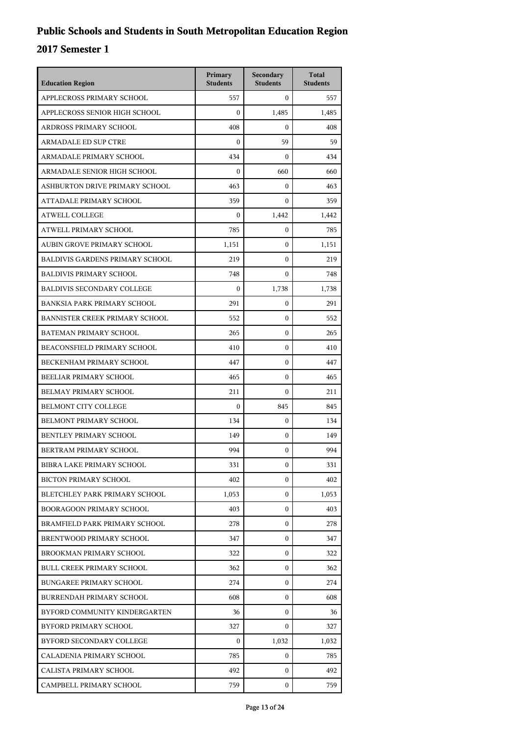| <b>Education Region</b>                | Primary<br><b>Students</b> | Secondary<br><b>Students</b> | <b>Total</b><br><b>Students</b> |
|----------------------------------------|----------------------------|------------------------------|---------------------------------|
| APPLECROSS PRIMARY SCHOOL              | 557                        | $\mathbf{0}$                 | 557                             |
| APPLECROSS SENIOR HIGH SCHOOL          | $\boldsymbol{0}$           | 1,485                        | 1,485                           |
| ARDROSS PRIMARY SCHOOL                 | 408                        | $\mathbf{0}$                 | 408                             |
| <b>ARMADALE ED SUP CTRE</b>            | 0                          | 59                           | 59                              |
| ARMADALE PRIMARY SCHOOL                | 434                        | $\Omega$                     | 434                             |
| ARMADALE SENIOR HIGH SCHOOL            | $\mathbf{0}$               | 660                          | 660                             |
| ASHBURTON DRIVE PRIMARY SCHOOL         | 463                        | $\mathbf{0}$                 | 463                             |
| ATTADALE PRIMARY SCHOOL                | 359                        | $\mathbf{0}$                 | 359                             |
| <b>ATWELL COLLEGE</b>                  | $\mathbf{0}$               | 1,442                        | 1,442                           |
| ATWELL PRIMARY SCHOOL                  | 785                        | $\mathbf{0}$                 | 785                             |
| AUBIN GROVE PRIMARY SCHOOL             | 1,151                      | $\mathbf{0}$                 | 1,151                           |
| <b>BALDIVIS GARDENS PRIMARY SCHOOL</b> | 219                        | $\mathbf{0}$                 | 219                             |
| <b>BALDIVIS PRIMARY SCHOOL</b>         | 748                        | $\mathbf{0}$                 | 748                             |
| <b>BALDIVIS SECONDARY COLLEGE</b>      | $\mathbf{0}$               | 1,738                        | 1,738                           |
| <b>BANKSIA PARK PRIMARY SCHOOL</b>     | 291                        | $\mathbf{0}$                 | 291                             |
| BANNISTER CREEK PRIMARY SCHOOL         | 552                        | $\mathbf{0}$                 | 552                             |
| <b>BATEMAN PRIMARY SCHOOL</b>          | 265                        | $\mathbf{0}$                 | 265                             |
| BEACONSFIELD PRIMARY SCHOOL            | 410                        | $\mathbf{0}$                 | 410                             |
| BECKENHAM PRIMARY SCHOOL               | 447                        | $\mathbf{0}$                 | 447                             |
| BEELIAR PRIMARY SCHOOL                 | 465                        | $\mathbf{0}$                 | 465                             |
| BELMAY PRIMARY SCHOOL                  | 211                        | $\mathbf{0}$                 | 211                             |
| <b>BELMONT CITY COLLEGE</b>            | $\mathbf{0}$               | 845                          | 845                             |
| BELMONT PRIMARY SCHOOL                 | 134                        | $\mathbf{0}$                 | 134                             |
| BENTLEY PRIMARY SCHOOL                 | 149                        | $\mathbf{0}$                 | 149                             |
| BERTRAM PRIMARY SCHOOL                 | 994                        | $\mathbf{0}$                 | 994                             |
| BIBRA LAKE PRIMARY SCHOOL              | 331                        | $\boldsymbol{0}$             | 331                             |
| <b>BICTON PRIMARY SCHOOL</b>           | 402                        | $\mathbf{0}$                 | 402                             |
| BLETCHLEY PARK PRIMARY SCHOOL          | 1,053                      | $\mathbf{0}$                 | 1,053                           |
| <b>BOORAGOON PRIMARY SCHOOL</b>        | 403                        | $\mathbf{0}$                 | 403                             |
| BRAMFIELD PARK PRIMARY SCHOOL          | 278                        | $\mathbf{0}$                 | 278                             |
| BRENTWOOD PRIMARY SCHOOL               | 347                        | $\mathbf{0}$                 | 347                             |
| BROOKMAN PRIMARY SCHOOL                | 322                        | $\mathbf{0}$                 | 322                             |
| <b>BULL CREEK PRIMARY SCHOOL</b>       | 362                        | $\mathbf{0}$                 | 362                             |
| <b>BUNGAREE PRIMARY SCHOOL</b>         | 274                        | $\mathbf{0}$                 | 274                             |
| BURRENDAH PRIMARY SCHOOL               | 608                        | $\mathbf{0}$                 | 608                             |
| BYFORD COMMUNITY KINDERGARTEN          | 36                         | $\mathbf{0}$                 | 36                              |
| BYFORD PRIMARY SCHOOL                  | 327                        | $\mathbf{0}$                 | 327                             |
| BYFORD SECONDARY COLLEGE               | $\mathbf{0}$               | 1,032                        | 1,032                           |
| CALADENIA PRIMARY SCHOOL               | 785                        | $\mathbf{0}$                 | 785                             |
| CALISTA PRIMARY SCHOOL                 | 492                        | $\mathbf{0}$                 | 492                             |
| CAMPBELL PRIMARY SCHOOL                | 759                        | $\mathbf{0}$                 | 759                             |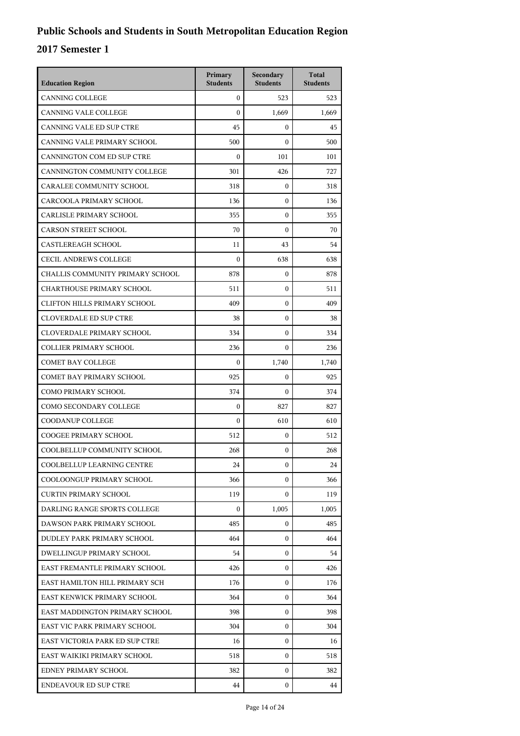| <b>Education Region</b>             | Primary<br><b>Students</b> | Secondary<br><b>Students</b> | <b>Total</b><br><b>Students</b> |
|-------------------------------------|----------------------------|------------------------------|---------------------------------|
| <b>CANNING COLLEGE</b>              | $\mathbf{0}$               | 523                          | 523                             |
| <b>CANNING VALE COLLEGE</b>         | $\mathbf{0}$               | 1,669                        | 1,669                           |
| CANNING VALE ED SUP CTRE            | 45                         | $\mathbf{0}$                 | 45                              |
| CANNING VALE PRIMARY SCHOOL         | 500                        | $\boldsymbol{0}$             | 500                             |
| CANNINGTON COM ED SUP CTRE          | $\boldsymbol{0}$           | 101                          | 101                             |
| CANNINGTON COMMUNITY COLLEGE        | 301                        | 426                          | 727                             |
| CARALEE COMMUNITY SCHOOL            | 318                        | $\boldsymbol{0}$             | 318                             |
| CARCOOLA PRIMARY SCHOOL             | 136                        | $\mathbf{0}$                 | 136                             |
| CARLISLE PRIMARY SCHOOL             | 355                        | $\boldsymbol{0}$             | 355                             |
| <b>CARSON STREET SCHOOL</b>         | 70                         | $\boldsymbol{0}$             | 70                              |
| <b>CASTLEREAGH SCHOOL</b>           | 11                         | 43                           | 54                              |
| <b>CECIL ANDREWS COLLEGE</b>        | $\mathbf{0}$               | 638                          | 638                             |
| CHALLIS COMMUNITY PRIMARY SCHOOL    | 878                        | $\mathbf{0}$                 | 878                             |
| <b>CHARTHOUSE PRIMARY SCHOOL</b>    | 511                        | $\boldsymbol{0}$             | 511                             |
| <b>CLIFTON HILLS PRIMARY SCHOOL</b> | 409                        | $\boldsymbol{0}$             | 409                             |
| <b>CLOVERDALE ED SUP CTRE</b>       | 38                         | $\mathbf{0}$                 | 38                              |
| CLOVERDALE PRIMARY SCHOOL           | 334                        | $\mathbf{0}$                 | 334                             |
| <b>COLLIER PRIMARY SCHOOL</b>       | 236                        | $\mathbf{0}$                 | 236                             |
| <b>COMET BAY COLLEGE</b>            | $\mathbf{0}$               | 1,740                        | 1,740                           |
| COMET BAY PRIMARY SCHOOL            | 925                        | $\boldsymbol{0}$             | 925                             |
| <b>COMO PRIMARY SCHOOL</b>          | 374                        | $\mathbf{0}$                 | 374                             |
| COMO SECONDARY COLLEGE              | $\mathbf{0}$               | 827                          | 827                             |
| COODANUP COLLEGE                    | $\overline{0}$             | 610                          | 610                             |
| <b>COOGEE PRIMARY SCHOOL</b>        | 512                        | $\boldsymbol{0}$             | 512                             |
| COOLBELLUP COMMUNITY SCHOOL         | 268                        | $\boldsymbol{0}$             | 268                             |
| COOLBELLUP LEARNING CENTRE          | 24                         | 0                            | 24                              |
| COOLOONGUP PRIMARY SCHOOL           | 366                        | $\mathbf{0}$                 | 366                             |
| <b>CURTIN PRIMARY SCHOOL</b>        | 119                        | $\mathbf{0}$                 | 119                             |
| DARLING RANGE SPORTS COLLEGE        | $\overline{0}$             | 1,005                        | 1,005                           |
| DAWSON PARK PRIMARY SCHOOL          | 485                        | $\mathbf{0}$                 | 485                             |
| DUDLEY PARK PRIMARY SCHOOL          | 464                        | 0                            | 464                             |
| <b>DWELLINGUP PRIMARY SCHOOL</b>    | 54                         | $\mathbf{0}$                 | 54                              |
| EAST FREMANTLE PRIMARY SCHOOL       | 426                        | $\mathbf{0}$                 | 426                             |
| EAST HAMILTON HILL PRIMARY SCH      | 176                        | 0                            | 176                             |
| EAST KENWICK PRIMARY SCHOOL         | 364                        | 0                            | 364                             |
| EAST MADDINGTON PRIMARY SCHOOL      | 398                        | 0                            | 398                             |
| EAST VIC PARK PRIMARY SCHOOL        | 304                        | $\mathbf{0}$                 | 304                             |
| EAST VICTORIA PARK ED SUP CTRE      | 16                         | $\mathbf{0}$                 | 16                              |
| EAST WAIKIKI PRIMARY SCHOOL         | 518                        | 0                            | 518                             |
| EDNEY PRIMARY SCHOOL                | 382                        | 0                            | 382                             |
| <b>ENDEAVOUR ED SUP CTRE</b>        | 44                         | $\mathbf{0}$                 | 44                              |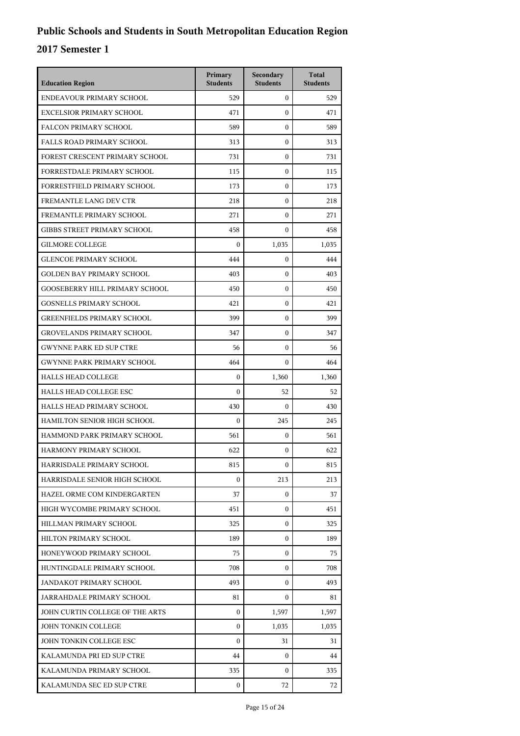| <b>Education Region</b>               | Primary<br><b>Students</b> | Secondary<br><b>Students</b> | <b>Total</b><br><b>Students</b> |
|---------------------------------------|----------------------------|------------------------------|---------------------------------|
| ENDEAVOUR PRIMARY SCHOOL              | 529                        | $\mathbf{0}$                 | 529                             |
| <b>EXCELSIOR PRIMARY SCHOOL</b>       | 471                        | $\mathbf{0}$                 | 471                             |
| <b>FALCON PRIMARY SCHOOL</b>          | 589                        | $\mathbf{0}$                 | 589                             |
| <b>FALLS ROAD PRIMARY SCHOOL</b>      | 313                        | $\mathbf{0}$                 | 313                             |
| FOREST CRESCENT PRIMARY SCHOOL        | 731                        | 0                            | 731                             |
| FORRESTDALE PRIMARY SCHOOL            | 115                        | $\mathbf{0}$                 | 115                             |
| <b>FORRESTFIELD PRIMARY SCHOOL</b>    | 173                        | $\mathbf{0}$                 | 173                             |
| FREMANTLE LANG DEV CTR                | 218                        | $\mathbf{0}$                 | 218                             |
| FREMANTLE PRIMARY SCHOOL              | 271                        | $\mathbf{0}$                 | 271                             |
| <b>GIBBS STREET PRIMARY SCHOOL</b>    | 458                        | $\mathbf{0}$                 | 458                             |
| <b>GILMORE COLLEGE</b>                | $\boldsymbol{0}$           | 1.035                        | 1,035                           |
| <b>GLENCOE PRIMARY SCHOOL</b>         | 444                        | $\mathbf{0}$                 | 444                             |
| <b>GOLDEN BAY PRIMARY SCHOOL</b>      | 403                        | $\mathbf{0}$                 | 403                             |
| <b>GOOSEBERRY HILL PRIMARY SCHOOL</b> | 450                        | $\mathbf{0}$                 | 450                             |
| <b>GOSNELLS PRIMARY SCHOOL</b>        | 421                        | $\mathbf{0}$                 | 421                             |
| <b>GREENFIELDS PRIMARY SCHOOL</b>     | 399                        | $\mathbf{0}$                 | 399                             |
| <b>GROVELANDS PRIMARY SCHOOL</b>      | 347                        | $\mathbf{0}$                 | 347                             |
| <b>GWYNNE PARK ED SUP CTRE</b>        | 56                         | $\mathbf{0}$                 | 56                              |
| <b>GWYNNE PARK PRIMARY SCHOOL</b>     | 464                        | $\mathbf{0}$                 | 464                             |
| <b>HALLS HEAD COLLEGE</b>             | $\boldsymbol{0}$           | 1,360                        | 1,360                           |
| <b>HALLS HEAD COLLEGE ESC</b>         | $\mathbf{0}$               | 52                           | 52                              |
| HALLS HEAD PRIMARY SCHOOL             | 430                        | $\mathbf{0}$                 | 430                             |
| HAMILTON SENIOR HIGH SCHOOL           | $\mathbf{0}$               | 245                          | 245                             |
| HAMMOND PARK PRIMARY SCHOOL           | 561                        | $\mathbf{0}$                 | 561                             |
| HARMONY PRIMARY SCHOOL                | 622                        | 0                            | 622                             |
| HARRISDALE PRIMARY SCHOOL             | 815                        | 0                            | 815                             |
| HARRISDALE SENIOR HIGH SCHOOL         | $\boldsymbol{0}$           | 213                          | 213                             |
| HAZEL ORME COM KINDERGARTEN           | 37                         | $\mathbf{0}$                 | 37                              |
| HIGH WYCOMBE PRIMARY SCHOOL           | 451                        | $\mathbf{0}$                 | 451                             |
| HILLMAN PRIMARY SCHOOL                | 325                        | $\mathbf{0}$                 | 325                             |
| HILTON PRIMARY SCHOOL                 | 189                        | $\mathbf{0}$                 | 189                             |
| HONEYWOOD PRIMARY SCHOOL              | 75                         | $\mathbf{0}$                 | 75                              |
| HUNTINGDALE PRIMARY SCHOOL            | 708                        | $\mathbf{0}$                 | 708                             |
| <b>JANDAKOT PRIMARY SCHOOL</b>        | 493                        | $\mathbf{0}$                 | 493                             |
| JARRAHDALE PRIMARY SCHOOL             | 81                         | $\mathbf{0}$                 | 81                              |
| JOHN CURTIN COLLEGE OF THE ARTS       | $\boldsymbol{0}$           | 1,597                        | 1,597                           |
| JOHN TONKIN COLLEGE                   | $\Omega$                   | 1,035                        | 1,035                           |
| JOHN TONKIN COLLEGE ESC               | $\Omega$                   | 31                           | 31                              |
| KALAMUNDA PRI ED SUP CTRE             | 44                         | $\mathbf{0}$                 | 44                              |
| KALAMUNDA PRIMARY SCHOOL              | 335                        | $\mathbf{0}$                 | 335                             |
| KALAMUNDA SEC ED SUP CTRE             | $\overline{0}$             | 72                           | 72                              |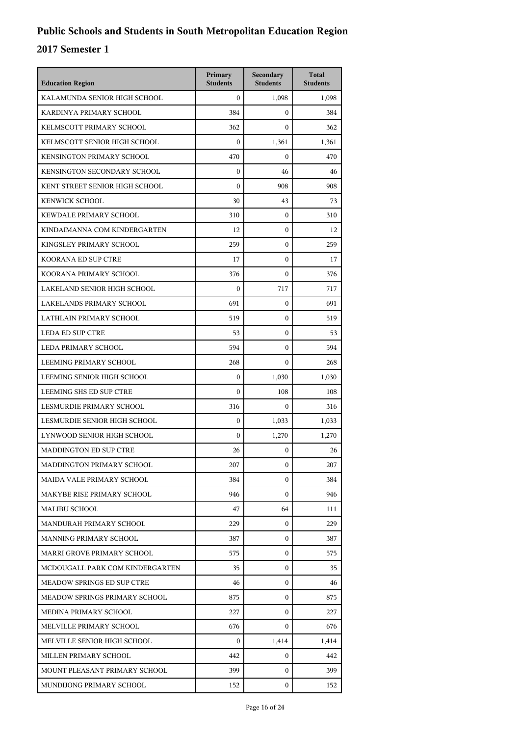| <b>Education Region</b>         | Primary<br><b>Students</b> | Secondary<br><b>Students</b> | <b>Total</b><br><b>Students</b> |
|---------------------------------|----------------------------|------------------------------|---------------------------------|
| KALAMUNDA SENIOR HIGH SCHOOL    | $\mathbf{0}$               | 1,098                        | 1,098                           |
| KARDINYA PRIMARY SCHOOL         | 384                        | $\mathbf{0}$                 | 384                             |
| KELMSCOTT PRIMARY SCHOOL        | 362                        | $\mathbf{0}$                 | 362                             |
| KELMSCOTT SENIOR HIGH SCHOOL    | $\mathbf{0}$               | 1,361                        | 1,361                           |
| KENSINGTON PRIMARY SCHOOL       | 470                        | $\Omega$                     | 470                             |
| KENSINGTON SECONDARY SCHOOL     | $\mathbf{0}$               | 46                           | 46                              |
| KENT STREET SENIOR HIGH SCHOOL  | $\mathbf{0}$               | 908                          | 908                             |
| <b>KENWICK SCHOOL</b>           | 30                         | 43                           | 73                              |
| KEWDALE PRIMARY SCHOOL          | 310                        | $\mathbf{0}$                 | 310                             |
| KINDAIMANNA COM KINDERGARTEN    | 12                         | $\mathbf{0}$                 | 12                              |
| KINGSLEY PRIMARY SCHOOL         | 259                        | $\mathbf{0}$                 | 259                             |
| KOORANA ED SUP CTRE             | 17                         | $\mathbf{0}$                 | 17                              |
| KOORANA PRIMARY SCHOOL          | 376                        | $\mathbf{0}$                 | 376                             |
| LAKELAND SENIOR HIGH SCHOOL     | $\mathbf{0}$               | 717                          | 717                             |
| LAKELANDS PRIMARY SCHOOL        | 691                        | $\mathbf{0}$                 | 691                             |
| LATHLAIN PRIMARY SCHOOL         | 519                        | $\mathbf{0}$                 | 519                             |
| <b>LEDA ED SUP CTRE</b>         | 53                         | $\mathbf{0}$                 | 53                              |
| LEDA PRIMARY SCHOOL             | 594                        | $\boldsymbol{0}$             | 594                             |
| LEEMING PRIMARY SCHOOL          | 268                        | $\mathbf{0}$                 | 268                             |
| LEEMING SENIOR HIGH SCHOOL      | $\mathbf{0}$               | 1,030                        | 1,030                           |
| LEEMING SHS ED SUP CTRE         | $\mathbf{0}$               | 108                          | 108                             |
| LESMURDIE PRIMARY SCHOOL        | 316                        | $\Omega$                     | 316                             |
| LESMURDIE SENIOR HIGH SCHOOL    | $\mathbf{0}$               | 1,033                        | 1,033                           |
| LYNWOOD SENIOR HIGH SCHOOL      | $\mathbf{0}$               | 1,270                        | 1,270                           |
| <b>MADDINGTON ED SUP CTRE</b>   | 26                         | 0                            | 26                              |
| MADDINGTON PRIMARY SCHOOL       | 207                        | 0                            | 207                             |
| MAIDA VALE PRIMARY SCHOOL       | 384                        | $\Omega$                     | 384                             |
| MAKYBE RISE PRIMARY SCHOOL      | 946                        | $\mathbf{0}$                 | 946                             |
| <b>MALIBU SCHOOL</b>            | 47                         | 64                           | 111                             |
| MANDURAH PRIMARY SCHOOL         | 229                        | $\Omega$                     | 229                             |
| MANNING PRIMARY SCHOOL          | 387                        | $\Omega$                     | 387                             |
| MARRI GROVE PRIMARY SCHOOL      | 575                        | $\Omega$                     | 575                             |
| MCDOUGALL PARK COM KINDERGARTEN | 35                         | $\mathbf{0}$                 | 35                              |
| MEADOW SPRINGS ED SUP CTRE      | 46                         | $\mathbf{0}$                 | 46                              |
| MEADOW SPRINGS PRIMARY SCHOOL   | 875                        | $\Omega$                     | 875                             |
| MEDINA PRIMARY SCHOOL           | 227                        | $\mathbf{0}$                 | 227                             |
| MELVILLE PRIMARY SCHOOL         | 676                        | $\mathbf{0}$                 | 676                             |
| MELVILLE SENIOR HIGH SCHOOL     | $\mathbf{0}$               | 1,414                        | 1,414                           |
| MILLEN PRIMARY SCHOOL           | 442                        | $\mathbf{0}$                 | 442                             |
| MOUNT PLEASANT PRIMARY SCHOOL   | 399                        | $\Omega$                     | 399                             |
| MUNDIJONG PRIMARY SCHOOL        | 152                        | $\mathbf{0}$                 | 152                             |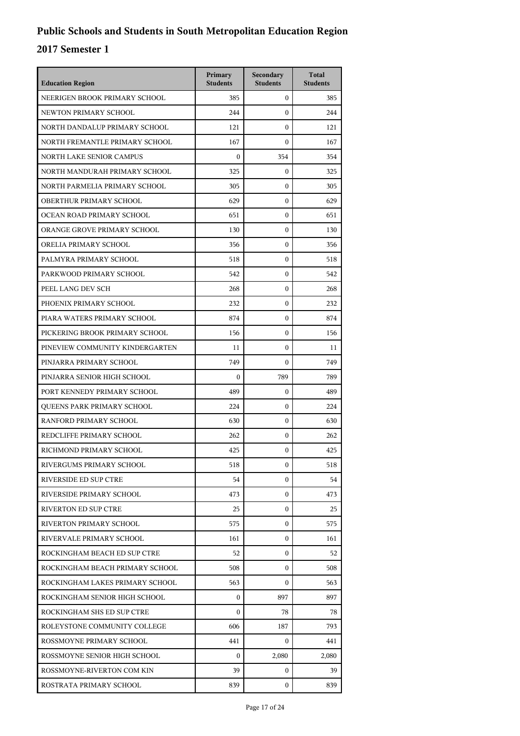| <b>Education Region</b>         | Primary<br><b>Students</b> | Secondary<br><b>Students</b> | <b>Total</b><br><b>Students</b> |
|---------------------------------|----------------------------|------------------------------|---------------------------------|
| NEERIGEN BROOK PRIMARY SCHOOL   | 385                        | $\mathbf{0}$                 | 385                             |
| NEWTON PRIMARY SCHOOL           | 244                        | $\mathbf{0}$                 | 244                             |
| NORTH DANDALUP PRIMARY SCHOOL   | 121                        | $\mathbf{0}$                 | 121                             |
| NORTH FREMANTLE PRIMARY SCHOOL  | 167                        | $\mathbf{0}$                 | 167                             |
| NORTH LAKE SENIOR CAMPUS        | $\boldsymbol{0}$           | 354                          | 354                             |
| NORTH MANDURAH PRIMARY SCHOOL   | 325                        | $\mathbf{0}$                 | 325                             |
| NORTH PARMELIA PRIMARY SCHOOL   | 305                        | $\mathbf{0}$                 | 305                             |
| OBERTHUR PRIMARY SCHOOL         | 629                        | $\mathbf{0}$                 | 629                             |
| OCEAN ROAD PRIMARY SCHOOL       | 651                        | $\mathbf{0}$                 | 651                             |
| ORANGE GROVE PRIMARY SCHOOL     | 130                        | $\mathbf{0}$                 | 130                             |
| ORELIA PRIMARY SCHOOL           | 356                        | $\mathbf{0}$                 | 356                             |
| PALMYRA PRIMARY SCHOOL          | 518                        | $\mathbf{0}$                 | 518                             |
| PARKWOOD PRIMARY SCHOOL         | 542                        | $\mathbf{0}$                 | 542                             |
| PEEL LANG DEV SCH               | 268                        | $\mathbf{0}$                 | 268                             |
| PHOENIX PRIMARY SCHOOL          | 232                        | 0                            | 232                             |
| PIARA WATERS PRIMARY SCHOOL     | 874                        | $\mathbf{0}$                 | 874                             |
| PICKERING BROOK PRIMARY SCHOOL  | 156                        | $\mathbf{0}$                 | 156                             |
| PINEVIEW COMMUNITY KINDERGARTEN | 11                         | $\mathbf{0}$                 | 11                              |
| PINJARRA PRIMARY SCHOOL         | 749                        | $\mathbf{0}$                 | 749                             |
| PINJARRA SENIOR HIGH SCHOOL     | $\boldsymbol{0}$           | 789                          | 789                             |
| PORT KENNEDY PRIMARY SCHOOL     | 489                        | $\mathbf{0}$                 | 489                             |
| QUEENS PARK PRIMARY SCHOOL      | 224                        | $\mathbf{0}$                 | 224                             |
| <b>RANFORD PRIMARY SCHOOL</b>   | 630                        | $\mathbf{0}$                 | 630                             |
| REDCLIFFE PRIMARY SCHOOL        | 262                        | $\mathbf{0}$                 | 262                             |
| RICHMOND PRIMARY SCHOOL         | 425                        | 0                            | 425                             |
| RIVERGUMS PRIMARY SCHOOL        | 518                        | $\boldsymbol{0}$             | 518                             |
| RIVERSIDE ED SUP CTRE           | 54                         | $\mathbf{0}$                 | 54                              |
| RIVERSIDE PRIMARY SCHOOL        | 473                        | $\mathbf{0}$                 | 473                             |
| RIVERTON ED SUP CTRE            | 25                         | $\mathbf{0}$                 | 25                              |
| RIVERTON PRIMARY SCHOOL         | 575                        | $\mathbf{0}$                 | 575                             |
| RIVERVALE PRIMARY SCHOOL        | 161                        | $\mathbf{0}$                 | 161                             |
| ROCKINGHAM BEACH ED SUP CTRE    | 52                         | $\mathbf{0}$                 | 52                              |
| ROCKINGHAM BEACH PRIMARY SCHOOL | 508                        | $\mathbf{0}$                 | 508                             |
| ROCKINGHAM LAKES PRIMARY SCHOOL | 563                        | $\mathbf{0}$                 | 563                             |
| ROCKINGHAM SENIOR HIGH SCHOOL   | $\mathbf{0}$               | 897                          | 897                             |
| ROCKINGHAM SHS ED SUP CTRE      | $\Omega$                   | 78                           | 78                              |
| ROLEYSTONE COMMUNITY COLLEGE    | 606                        | 187                          | 793                             |
| ROSSMOYNE PRIMARY SCHOOL        | 441                        | $\mathbf{0}$                 | 441                             |
| ROSSMOYNE SENIOR HIGH SCHOOL    | $\Omega$                   | 2,080                        | 2,080                           |
| ROSSMOYNE-RIVERTON COM KIN      | 39                         | $\mathbf{0}$                 | 39                              |
| ROSTRATA PRIMARY SCHOOL         | 839                        | $\mathbf{0}$                 | 839                             |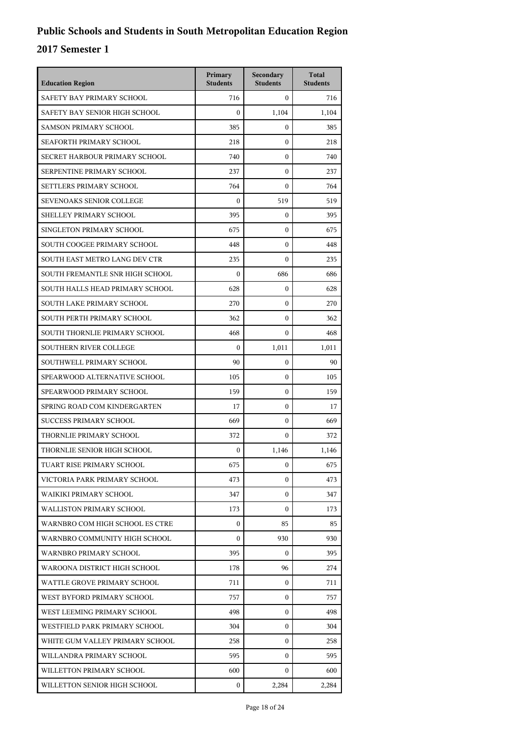| <b>Education Region</b>         | Primary<br><b>Students</b> | Secondary<br><b>Students</b> | <b>Total</b><br><b>Students</b> |
|---------------------------------|----------------------------|------------------------------|---------------------------------|
| SAFETY BAY PRIMARY SCHOOL       | 716                        | $\mathbf{0}$                 | 716                             |
| SAFETY BAY SENIOR HIGH SCHOOL   | $\mathbf{0}$               | 1,104                        | 1,104                           |
| <b>SAMSON PRIMARY SCHOOL</b>    | 385                        | $\boldsymbol{0}$             | 385                             |
| SEAFORTH PRIMARY SCHOOL         | 218                        | $\boldsymbol{0}$             | 218                             |
| SECRET HARBOUR PRIMARY SCHOOL   | 740                        | $\boldsymbol{0}$             | 740                             |
| SERPENTINE PRIMARY SCHOOL       | 237                        | $\mathbf{0}$                 | 237                             |
| SETTLERS PRIMARY SCHOOL         | 764                        | $\mathbf{0}$                 | 764                             |
| <b>SEVENOAKS SENIOR COLLEGE</b> | $\boldsymbol{0}$           | 519                          | 519                             |
| SHELLEY PRIMARY SCHOOL          | 395                        | $\boldsymbol{0}$             | 395                             |
| SINGLETON PRIMARY SCHOOL        | 675                        | $\boldsymbol{0}$             | 675                             |
| SOUTH COOGEE PRIMARY SCHOOL     | 448                        | $\mathbf{0}$                 | 448                             |
| SOUTH EAST METRO LANG DEV CTR   | 235                        | $\mathbf{0}$                 | 235                             |
| SOUTH FREMANTLE SNR HIGH SCHOOL | $\boldsymbol{0}$           | 686                          | 686                             |
| SOUTH HALLS HEAD PRIMARY SCHOOL | 628                        | $\boldsymbol{0}$             | 628                             |
| SOUTH LAKE PRIMARY SCHOOL       | 270                        | $\boldsymbol{0}$             | 270                             |
| SOUTH PERTH PRIMARY SCHOOL      | 362                        | $\mathbf{0}$                 | 362                             |
| SOUTH THORNLIE PRIMARY SCHOOL   | 468                        | $\theta$                     | 468                             |
| <b>SOUTHERN RIVER COLLEGE</b>   | $\mathbf{0}$               | 1,011                        | 1,011                           |
| SOUTHWELL PRIMARY SCHOOL        | 90                         | $\boldsymbol{0}$             | 90                              |
| SPEARWOOD ALTERNATIVE SCHOOL    | 105                        | $\boldsymbol{0}$             | 105                             |
| SPEARWOOD PRIMARY SCHOOL        | 159                        | $\mathbf{0}$                 | 159                             |
| SPRING ROAD COM KINDERGARTEN    | 17                         | $\mathbf{0}$                 | 17                              |
| <b>SUCCESS PRIMARY SCHOOL</b>   | 669                        | $\boldsymbol{0}$             | 669                             |
| THORNLIE PRIMARY SCHOOL         | 372                        | $\boldsymbol{0}$             | 372                             |
| THORNLIE SENIOR HIGH SCHOOL     | $\boldsymbol{0}$           | 1,146                        | 1,146                           |
| TUART RISE PRIMARY SCHOOL       | 675                        | 0                            | 675                             |
| VICTORIA PARK PRIMARY SCHOOL    | 473                        | 0                            | 473                             |
| WAIKIKI PRIMARY SCHOOL          | 347                        | $\mathbf{0}$                 | 347                             |
| <b>WALLISTON PRIMARY SCHOOL</b> | 173                        | $\mathbf{0}$                 | 173                             |
| WARNBRO COM HIGH SCHOOL ES CTRE | $\mathbf{0}$               | 85                           | 85                              |
| WARNBRO COMMUNITY HIGH SCHOOL   | $\Omega$                   | 930                          | 930                             |
| <b>WARNBRO PRIMARY SCHOOL</b>   | 395                        | $\Omega$                     | 395                             |
| WAROONA DISTRICT HIGH SCHOOL    | 178                        | 96                           | 274                             |
| WATTLE GROVE PRIMARY SCHOOL     | 711                        | 0                            | 711                             |
| WEST BYFORD PRIMARY SCHOOL      | 757                        | 0                            | 757                             |
| WEST LEEMING PRIMARY SCHOOL     | 498                        | 0                            | 498                             |
| WESTFIELD PARK PRIMARY SCHOOL   | 304                        | $\mathbf{0}$                 | 304                             |
| WHITE GUM VALLEY PRIMARY SCHOOL | 258                        | 0                            | 258                             |
| WILLANDRA PRIMARY SCHOOL        | 595                        | $\mathbf{0}$                 | 595                             |
| WILLETTON PRIMARY SCHOOL        | 600                        | 0                            | 600                             |
| WILLETTON SENIOR HIGH SCHOOL    | $\mathbf{0}$               | 2,284                        | 2,284                           |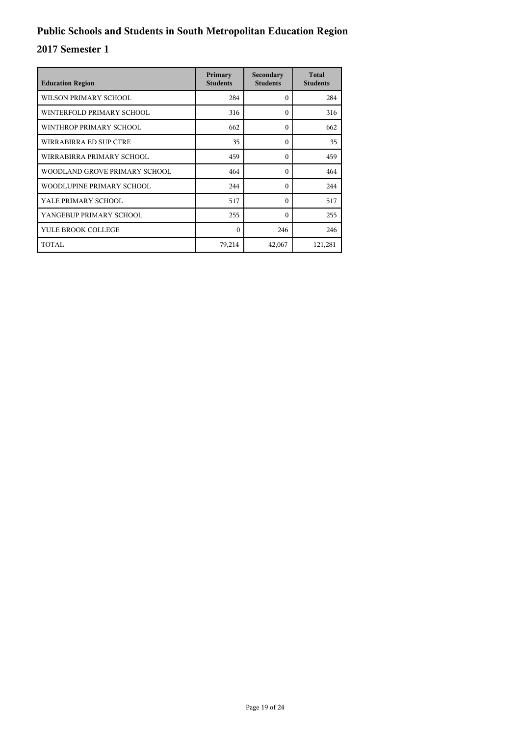| <b>Education Region</b>       | Primary<br><b>Students</b> | Secondary<br><b>Students</b> | <b>Total</b><br><b>Students</b> |
|-------------------------------|----------------------------|------------------------------|---------------------------------|
| WILSON PRIMARY SCHOOL         | 284                        | $\Omega$                     | 284                             |
| WINTERFOLD PRIMARY SCHOOL     | 316                        | $\Omega$                     | 316                             |
| WINTHROP PRIMARY SCHOOL       | 662                        | $\Omega$                     | 662                             |
| WIRRABIRRA ED SUP CTRE        | 35                         | $\Omega$                     | 35                              |
| WIRRABIRRA PRIMARY SCHOOL     | 459                        | $\Omega$                     | 459                             |
| WOODLAND GROVE PRIMARY SCHOOL | 464                        | $\Omega$                     | 464                             |
| WOODLUPINE PRIMARY SCHOOL     | 244                        | $\Omega$                     | 244                             |
| YALE PRIMARY SCHOOL           | 517                        | $\Omega$                     | 517                             |
| YANGEBUP PRIMARY SCHOOL       | 255                        | $\Omega$                     | 255                             |
| YULE BROOK COLLEGE            | $\Omega$                   | 246                          | 246                             |
| TOTAL                         | 79,214                     | 42,067                       | 121,281                         |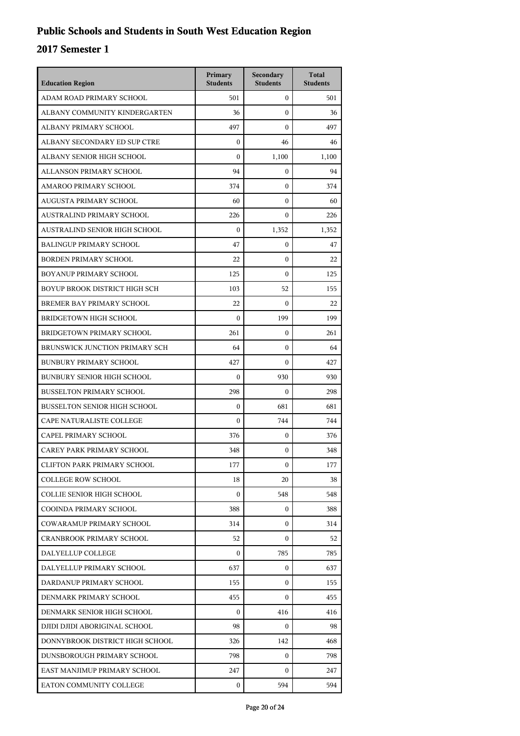| <b>Education Region</b>             | Primary<br><b>Students</b> | Secondary<br><b>Students</b> | <b>Total</b><br><b>Students</b> |
|-------------------------------------|----------------------------|------------------------------|---------------------------------|
| ADAM ROAD PRIMARY SCHOOL            | 501                        | $\mathbf{0}$                 | 501                             |
| ALBANY COMMUNITY KINDERGARTEN       | 36                         | $\mathbf{0}$                 | 36                              |
| ALBANY PRIMARY SCHOOL               | 497                        | $\mathbf{0}$                 | 497                             |
| ALBANY SECONDARY ED SUP CTRE        | $\boldsymbol{0}$           | 46                           | 46                              |
| ALBANY SENIOR HIGH SCHOOL           | $\mathbf{0}$               | 1,100                        | 1,100                           |
| ALLANSON PRIMARY SCHOOL             | 94                         | $\boldsymbol{0}$             | 94                              |
| AMAROO PRIMARY SCHOOL               | 374                        | $\mathbf{0}$                 | 374                             |
| AUGUSTA PRIMARY SCHOOL              | 60                         | $\mathbf{0}$                 | 60                              |
| AUSTRALIND PRIMARY SCHOOL           | 226                        | $\boldsymbol{0}$             | 226                             |
| AUSTRALIND SENIOR HIGH SCHOOL       | $\theta$                   | 1,352                        | 1,352                           |
| <b>BALINGUP PRIMARY SCHOOL</b>      | 47                         | 0                            | 47                              |
| <b>BORDEN PRIMARY SCHOOL</b>        | 22                         | $\mathbf{0}$                 | 22                              |
| BOYANUP PRIMARY SCHOOL              | 125                        | $\mathbf{0}$                 | 125                             |
| BOYUP BROOK DISTRICT HIGH SCH       | 103                        | 52                           | 155                             |
| BREMER BAY PRIMARY SCHOOL           | 22                         | $\boldsymbol{0}$             | 22                              |
| <b>BRIDGETOWN HIGH SCHOOL</b>       | $\mathbf{0}$               | 199                          | 199                             |
| BRIDGETOWN PRIMARY SCHOOL           | 261                        | $\mathbf{0}$                 | 261                             |
| BRUNSWICK JUNCTION PRIMARY SCH      | 64                         | $\mathbf{0}$                 | 64                              |
| <b>BUNBURY PRIMARY SCHOOL</b>       | 427                        | $\boldsymbol{0}$             | 427                             |
| <b>BUNBURY SENIOR HIGH SCHOOL</b>   | $\theta$                   | 930                          | 930                             |
| <b>BUSSELTON PRIMARY SCHOOL</b>     | 298                        | $\boldsymbol{0}$             | 298                             |
| <b>BUSSELTON SENIOR HIGH SCHOOL</b> | $\mathbf{0}$               | 681                          | 681                             |
| CAPE NATURALISTE COLLEGE            | $\boldsymbol{0}$           | 744                          | 744                             |
| CAPEL PRIMARY SCHOOL                | 376                        | $\boldsymbol{0}$             | 376                             |
| CAREY PARK PRIMARY SCHOOL           | 348                        | $\mathbf{0}$                 | 348                             |
| CLIFTON PARK PRIMARY SCHOOL         | 177                        | $\mathbf{0}$                 | 177                             |
| <b>COLLEGE ROW SCHOOL</b>           | 18                         | 20                           | 38                              |
| COLLIE SENIOR HIGH SCHOOL           | $\Omega$                   | 548                          | 548                             |
| COOINDA PRIMARY SCHOOL              | 388                        | 0                            | 388                             |
| COWARAMUP PRIMARY SCHOOL            | 314                        | $\mathbf{0}$                 | 314                             |
| <b>CRANBROOK PRIMARY SCHOOL</b>     | 52                         | 0                            | 52                              |
| DALYELLUP COLLEGE                   | $\Omega$                   | 785                          | 785                             |
| DALYELLUP PRIMARY SCHOOL            | 637                        | 0                            | 637                             |
| DARDANUP PRIMARY SCHOOL             | 155                        | $\mathbf{0}$                 | 155                             |
| DENMARK PRIMARY SCHOOL              | 455                        | $\Omega$                     | 455                             |
| DENMARK SENIOR HIGH SCHOOL          | $\Omega$                   | 416                          | 416                             |
| DJIDI DJIDI ABORIGINAL SCHOOL       | 98                         | $\mathbf{0}$                 | 98                              |
| DONNYBROOK DISTRICT HIGH SCHOOL     | 326                        | 142                          | 468                             |
| DUNSBOROUGH PRIMARY SCHOOL          | 798                        | $\mathbf{0}$                 | 798                             |
| EAST MANJIMUP PRIMARY SCHOOL        | 247                        | $\Omega$                     | 247                             |
| EATON COMMUNITY COLLEGE             | 0                          | 594                          | 594                             |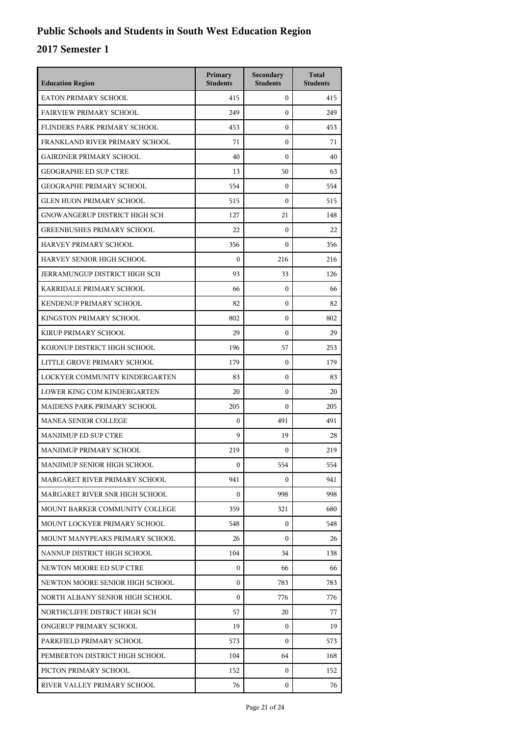| <b>Education Region</b>              | Primary<br><b>Students</b> | Secondary<br><b>Students</b> | <b>Total</b><br><b>Students</b> |
|--------------------------------------|----------------------------|------------------------------|---------------------------------|
| <b>EATON PRIMARY SCHOOL</b>          | 415                        | $\mathbf{0}$                 | 415                             |
| <b>FAIRVIEW PRIMARY SCHOOL</b>       | 249                        | $\mathbf{0}$                 | 249                             |
| FLINDERS PARK PRIMARY SCHOOL         | 453                        | $\mathbf{0}$                 | 453                             |
| FRANKLAND RIVER PRIMARY SCHOOL       | 71                         | $\boldsymbol{0}$             | 71                              |
| <b>GAIRDNER PRIMARY SCHOOL</b>       | 40                         | $\boldsymbol{0}$             | 40                              |
| <b>GEOGRAPHE ED SUP CTRE</b>         | 13                         | 50                           | 63                              |
| <b>GEOGRAPHE PRIMARY SCHOOL</b>      | 554                        | $\mathbf{0}$                 | 554                             |
| <b>GLEN HUON PRIMARY SCHOOL</b>      | 515                        | $\mathbf{0}$                 | 515                             |
| GNOWANGERUP DISTRICT HIGH SCH        | 127                        | 21                           | 148                             |
| <b>GREENBUSHES PRIMARY SCHOOL</b>    | 22                         | $\boldsymbol{0}$             | 22                              |
| HARVEY PRIMARY SCHOOL                | 356                        | $\boldsymbol{0}$             | 356                             |
| HARVEY SENIOR HIGH SCHOOL            | $\mathbf{0}$               | 216                          | 216                             |
| <b>JERRAMUNGUP DISTRICT HIGH SCH</b> | 93                         | 33                           | 126                             |
| KARRIDALE PRIMARY SCHOOL             | 66                         | $\boldsymbol{0}$             | 66                              |
| KENDENUP PRIMARY SCHOOL              | 82                         | $\boldsymbol{0}$             | 82                              |
| KINGSTON PRIMARY SCHOOL              | 802                        | $\mathbf{0}$                 | 802                             |
| KIRUP PRIMARY SCHOOL                 | 29                         | $\boldsymbol{0}$             | 29                              |
| KOJONUP DISTRICT HIGH SCHOOL         | 196                        | 57                           | 253                             |
| LITTLE GROVE PRIMARY SCHOOL          | 179                        | $\boldsymbol{0}$             | 179                             |
| LOCKYER COMMUNITY KINDERGARTEN       | 83                         | $\boldsymbol{0}$             | 83                              |
| LOWER KING COM KINDERGARTEN          | 20                         | $\mathbf{0}$                 | 20                              |
| MAIDENS PARK PRIMARY SCHOOL          | 205                        | $\theta$                     | 205                             |
| <b>MANEA SENIOR COLLEGE</b>          | $\mathbf{0}$               | 491                          | 491                             |
| <b>MANJIMUP ED SUP CTRE</b>          | 9                          | 19                           | 28                              |
| MANJIMUP PRIMARY SCHOOL              | 219                        | $\mathbf{0}$                 | 219                             |
| MANJIMUP SENIOR HIGH SCHOOL          | $\mathbf{0}$               | 554                          | 554                             |
| MARGARET RIVER PRIMARY SCHOOL        | 941                        | $\Omega$                     | 941                             |
| MARGARET RIVER SNR HIGH SCHOOL       | $\boldsymbol{0}$           | 998                          | 998                             |
| MOUNT BARKER COMMUNITY COLLEGE       | 359                        | 321                          | 680                             |
| MOUNT LOCKYER PRIMARY SCHOOL         | 548                        | 0                            | 548                             |
| MOUNT MANYPEAKS PRIMARY SCHOOL       | 26                         | $\Omega$                     | 26                              |
| NANNUP DISTRICT HIGH SCHOOL          | 104                        | 34                           | 138                             |
| NEWTON MOORE ED SUP CTRE             | $\boldsymbol{0}$           | 66                           | 66                              |
| NEWTON MOORE SENIOR HIGH SCHOOL      | $\mathbf{0}$               | 783                          | 783                             |
| NORTH ALBANY SENIOR HIGH SCHOOL      | 0                          | 776                          | 776                             |
| NORTHCLIFFE DISTRICT HIGH SCH        | 57                         | 20                           | 77                              |
| ONGERUP PRIMARY SCHOOL               | 19                         | $\mathbf{0}$                 | 19                              |
| PARKFIELD PRIMARY SCHOOL             | 573                        | 0                            | 573                             |
| PEMBERTON DISTRICT HIGH SCHOOL       | 104                        | 64                           | 168                             |
| PICTON PRIMARY SCHOOL                | 152                        | 0                            | 152                             |
| RIVER VALLEY PRIMARY SCHOOL          | 76                         | 0                            | 76                              |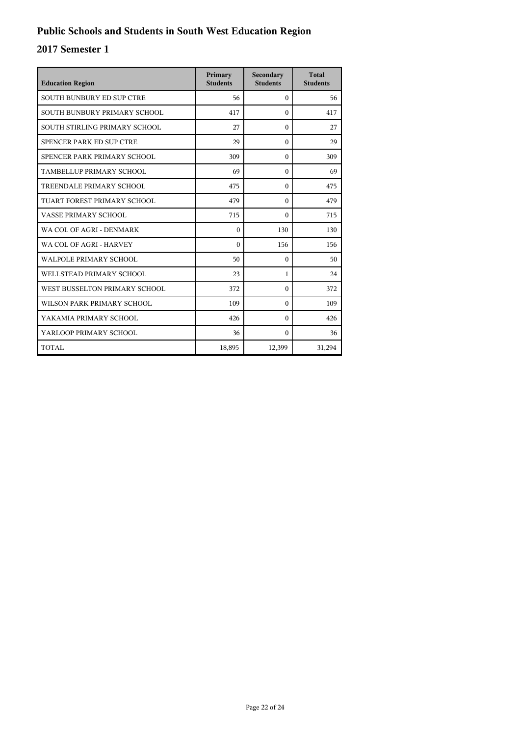| <b>Education Region</b>       | Primary<br><b>Students</b> | Secondary<br><b>Students</b> | <b>Total</b><br><b>Students</b> |
|-------------------------------|----------------------------|------------------------------|---------------------------------|
| SOUTH BUNBURY ED SUP CTRE     | 56                         | $\theta$                     | 56                              |
| SOUTH BUNBURY PRIMARY SCHOOL  | 417                        | $\theta$                     | 417                             |
| SOUTH STIRLING PRIMARY SCHOOL | 27                         | $\theta$                     | 27                              |
| SPENCER PARK ED SUP CTRE      | 29                         | $\theta$                     | 29                              |
| SPENCER PARK PRIMARY SCHOOL   | 309                        | $\theta$                     | 309                             |
| TAMBELLUP PRIMARY SCHOOL      | 69                         | $\Omega$                     | 69                              |
| TREENDALE PRIMARY SCHOOL      | 475                        | $\theta$                     | 475                             |
| TUART FOREST PRIMARY SCHOOL   | 479                        | $\theta$                     | 479                             |
| VASSE PRIMARY SCHOOL          | 715                        | $\theta$                     | 715                             |
| WA COL OF AGRI - DENMARK      | $\theta$                   | 130                          | 130                             |
| WA COL OF AGRI - HARVEY       | $\Omega$                   | 156                          | 156                             |
| WALPOLE PRIMARY SCHOOL        | 50                         | $\theta$                     | 50                              |
| WELL STEAD PRIMARY SCHOOL     | 23                         | $\mathbf{1}$                 | 24                              |
| WEST BUSSELTON PRIMARY SCHOOL | 372                        | $\theta$                     | 372                             |
| WILSON PARK PRIMARY SCHOOL    | 109                        | $\Omega$                     | 109                             |
| YAKAMIA PRIMARY SCHOOL        | 426                        | $\Omega$                     | 426                             |
| YARLOOP PRIMARY SCHOOL        | 36                         | $\Omega$                     | 36                              |
| TOTAL                         | 18,895                     | 12,399                       | 31,294                          |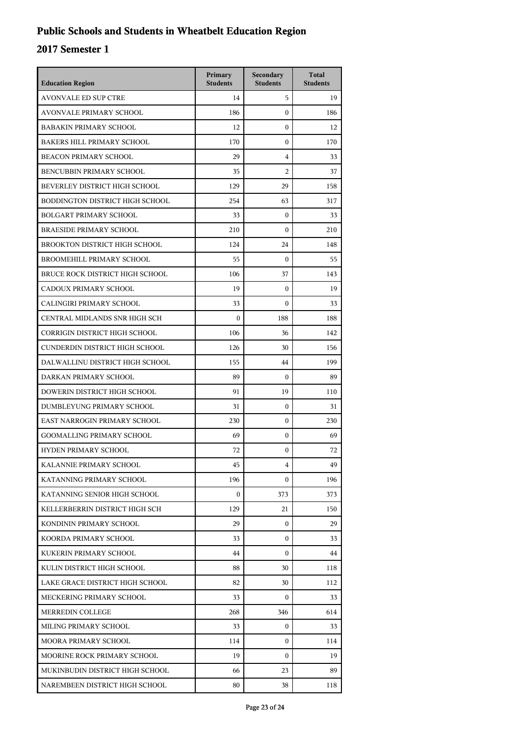## **Public Schools and Students in Wheatbelt Education Region**

| <b>Education Region</b>              | Primary<br><b>Students</b> | Secondary<br><b>Students</b> | <b>Total</b><br><b>Students</b> |
|--------------------------------------|----------------------------|------------------------------|---------------------------------|
| <b>AVONVALE ED SUP CTRE</b>          | 14                         | 5                            | 19                              |
| <b>AVONVALE PRIMARY SCHOOL</b>       | 186                        | $\boldsymbol{0}$             | 186                             |
| <b>BABAKIN PRIMARY SCHOOL</b>        | 12                         | $\boldsymbol{0}$             | 12                              |
| <b>BAKERS HILL PRIMARY SCHOOL</b>    | 170                        | $\mathbf{0}$                 | 170                             |
| <b>BEACON PRIMARY SCHOOL</b>         | 29                         | 4                            | 33                              |
| BENCUBBIN PRIMARY SCHOOL             | 35                         | $\overline{2}$               | 37                              |
| BEVERLEY DISTRICT HIGH SCHOOL        | 129                        | 29                           | 158                             |
| BODDINGTON DISTRICT HIGH SCHOOL      | 254                        | 63                           | 317                             |
| <b>BOLGART PRIMARY SCHOOL</b>        | 33                         | $\mathbf{0}$                 | 33                              |
| <b>BRAESIDE PRIMARY SCHOOL</b>       | 210                        | $\boldsymbol{0}$             | 210                             |
| BROOKTON DISTRICT HIGH SCHOOL        | 124                        | 24                           | 148                             |
| BROOMEHILL PRIMARY SCHOOL            | 55                         | $\mathbf{0}$                 | 55                              |
| BRUCE ROCK DISTRICT HIGH SCHOOL      | 106                        | 37                           | 143                             |
| CADOUX PRIMARY SCHOOL                | 19                         | $\mathbf{0}$                 | 19                              |
| CALINGIRI PRIMARY SCHOOL             | 33                         | $\boldsymbol{0}$             | 33                              |
| CENTRAL MIDLANDS SNR HIGH SCH        | $\mathbf{0}$               | 188                          | 188                             |
| <b>CORRIGIN DISTRICT HIGH SCHOOL</b> | 106                        | 36                           | 142                             |
| CUNDERDIN DISTRICT HIGH SCHOOL       | 126                        | 30                           | 156                             |
| DALWALLINU DISTRICT HIGH SCHOOL      | 155                        | 44                           | 199                             |
| DARKAN PRIMARY SCHOOL                | 89                         | $\mathbf{0}$                 | 89                              |
| DOWERIN DISTRICT HIGH SCHOOL         | 91                         | 19                           | 110                             |
| DUMBLEYUNG PRIMARY SCHOOL            | 31                         | $\mathbf{0}$                 | 31                              |
| EAST NARROGIN PRIMARY SCHOOL         | 230                        | $\mathbf{0}$                 | 230                             |
| <b>GOOMALLING PRIMARY SCHOOL</b>     | 69                         | $\boldsymbol{0}$             | 69                              |
| HYDEN PRIMARY SCHOOL                 | 72                         | $\boldsymbol{0}$             | 72                              |
| KALANNIE PRIMARY SCHOOL              | 45                         | 4                            | 49                              |
| KATANNING PRIMARY SCHOOL             | 196                        | $\mathbf{0}$                 | 196                             |
| KATANNING SENIOR HIGH SCHOOL         | $\boldsymbol{0}$           | 373                          | 373                             |
| KELLERBERRIN DISTRICT HIGH SCH       | 129                        | 21                           | 150                             |
| KONDININ PRIMARY SCHOOL              | 29                         | $\mathbf{0}$                 | 29                              |
| KOORDA PRIMARY SCHOOL                | 33                         | $\mathbf{0}$                 | 33                              |
| KUKERIN PRIMARY SCHOOL               | 44                         | $\mathbf{0}$                 | 44                              |
| KULIN DISTRICT HIGH SCHOOL           | 88                         | 30                           | 118                             |
| LAKE GRACE DISTRICT HIGH SCHOOL      | 82                         | 30                           | 112                             |
| MECKERING PRIMARY SCHOOL             | 33                         | $\mathbf{0}$                 | 33                              |
| MERREDIN COLLEGE                     | 268                        | 346                          | 614                             |
| MILING PRIMARY SCHOOL                | 33                         | $\mathbf{0}$                 | 33                              |
| MOORA PRIMARY SCHOOL                 | 114                        | $\Omega$                     | 114                             |
| <b>MOORINE ROCK PRIMARY SCHOOL</b>   | 19                         | $\mathbf{0}$                 | 19                              |
| MUKINBUDIN DISTRICT HIGH SCHOOL      | 66                         | 23                           | 89                              |
| NAREMBEEN DISTRICT HIGH SCHOOL       | 80                         | 38                           | 118                             |